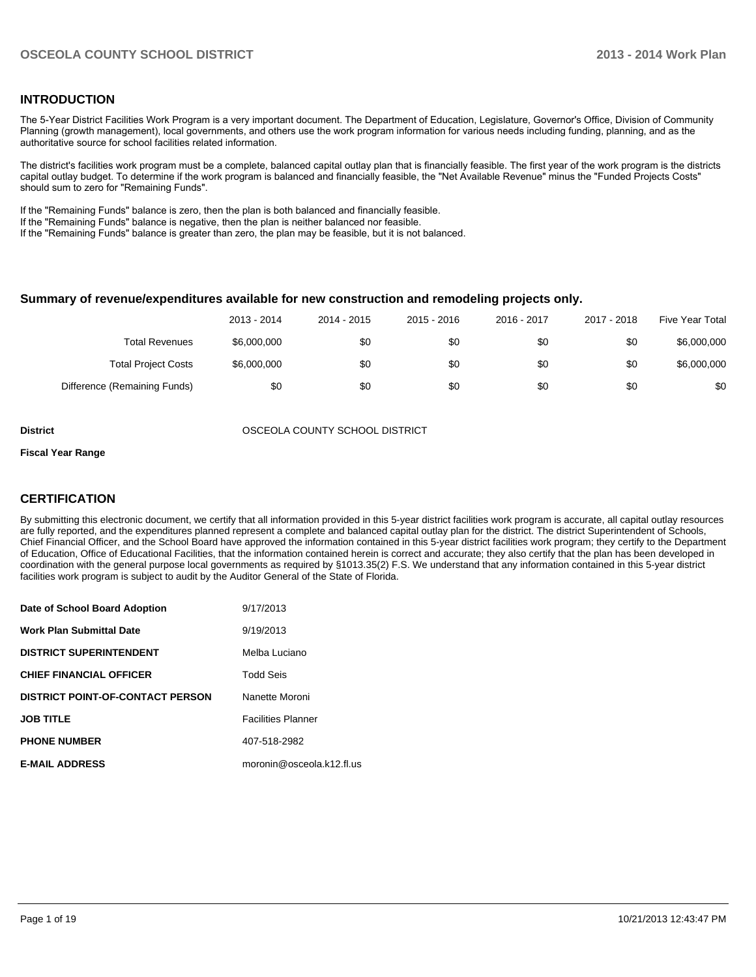#### **INTRODUCTION**

The 5-Year District Facilities Work Program is a very important document. The Department of Education, Legislature, Governor's Office, Division of Community Planning (growth management), local governments, and others use the work program information for various needs including funding, planning, and as the authoritative source for school facilities related information.

The district's facilities work program must be a complete, balanced capital outlay plan that is financially feasible. The first year of the work program is the districts capital outlay budget. To determine if the work program is balanced and financially feasible, the "Net Available Revenue" minus the "Funded Projects Costs" should sum to zero for "Remaining Funds".

If the "Remaining Funds" balance is zero, then the plan is both balanced and financially feasible.

If the "Remaining Funds" balance is negative, then the plan is neither balanced nor feasible.

If the "Remaining Funds" balance is greater than zero, the plan may be feasible, but it is not balanced.

#### **Summary of revenue/expenditures available for new construction and remodeling projects only.**

|                              | 2013 - 2014 | 2014 - 2015 | 2015 - 2016 | 2016 - 2017 | 2017 - 2018 | Five Year Total |
|------------------------------|-------------|-------------|-------------|-------------|-------------|-----------------|
| <b>Total Revenues</b>        | \$6,000,000 | \$0         | \$0         | \$0         | \$0         | \$6,000,000     |
| <b>Total Project Costs</b>   | \$6,000,000 | \$0         | \$0         | \$0         | \$0         | \$6,000,000     |
| Difference (Remaining Funds) | \$0         | \$0         | \$0         | \$0         | \$0         | \$0             |

**District** OSCEOLA COUNTY SCHOOL DISTRICT

#### **Fiscal Year Range**

#### **CERTIFICATION**

By submitting this electronic document, we certify that all information provided in this 5-year district facilities work program is accurate, all capital outlay resources are fully reported, and the expenditures planned represent a complete and balanced capital outlay plan for the district. The district Superintendent of Schools, Chief Financial Officer, and the School Board have approved the information contained in this 5-year district facilities work program; they certify to the Department of Education, Office of Educational Facilities, that the information contained herein is correct and accurate; they also certify that the plan has been developed in coordination with the general purpose local governments as required by §1013.35(2) F.S. We understand that any information contained in this 5-year district facilities work program is subject to audit by the Auditor General of the State of Florida.

| Date of School Board Adoption           | 9/17/2013                 |
|-----------------------------------------|---------------------------|
| <b>Work Plan Submittal Date</b>         | 9/19/2013                 |
| <b>DISTRICT SUPERINTENDENT</b>          | Melba Luciano             |
| <b>CHIEF FINANCIAL OFFICER</b>          | Todd Seis                 |
| <b>DISTRICT POINT-OF-CONTACT PERSON</b> | Nanette Moroni            |
| <b>JOB TITLE</b>                        | <b>Facilities Planner</b> |
| <b>PHONE NUMBER</b>                     | 407-518-2982              |
| <b>E-MAIL ADDRESS</b>                   | moronin@osceola.k12.fl.us |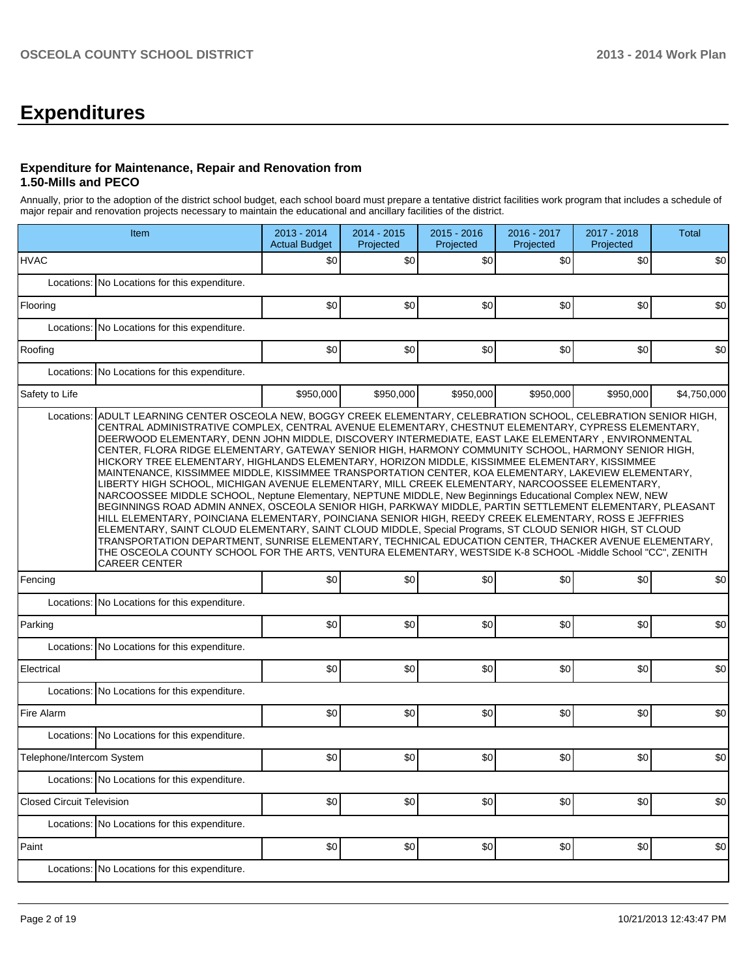# **Expenditures**

### **Expenditure for Maintenance, Repair and Renovation from 1.50-Mills and PECO**

Annually, prior to the adoption of the district school budget, each school board must prepare a tentative district facilities work program that includes a schedule of major repair and renovation projects necessary to maintain the educational and ancillary facilities of the district.

|                                  | Item                                                                                                                                                                                                                                                                                                                                                                                                                                                                                                                                                                                                                                                                                                                                                                                                                                                                                                                                                                                                                                                                                                                                                                                                                                                                                                                       |           | 2014 - 2015<br>Projected | 2015 - 2016<br>Projected | 2016 - 2017<br>Projected | 2017 - 2018<br>Projected | <b>Total</b> |  |  |  |  |
|----------------------------------|----------------------------------------------------------------------------------------------------------------------------------------------------------------------------------------------------------------------------------------------------------------------------------------------------------------------------------------------------------------------------------------------------------------------------------------------------------------------------------------------------------------------------------------------------------------------------------------------------------------------------------------------------------------------------------------------------------------------------------------------------------------------------------------------------------------------------------------------------------------------------------------------------------------------------------------------------------------------------------------------------------------------------------------------------------------------------------------------------------------------------------------------------------------------------------------------------------------------------------------------------------------------------------------------------------------------------|-----------|--------------------------|--------------------------|--------------------------|--------------------------|--------------|--|--|--|--|
| <b>HVAC</b>                      |                                                                                                                                                                                                                                                                                                                                                                                                                                                                                                                                                                                                                                                                                                                                                                                                                                                                                                                                                                                                                                                                                                                                                                                                                                                                                                                            | \$0       | \$0                      | \$0                      | \$0                      | \$0                      | \$0          |  |  |  |  |
|                                  | Locations: No Locations for this expenditure.                                                                                                                                                                                                                                                                                                                                                                                                                                                                                                                                                                                                                                                                                                                                                                                                                                                                                                                                                                                                                                                                                                                                                                                                                                                                              |           |                          |                          |                          |                          |              |  |  |  |  |
| Flooring                         |                                                                                                                                                                                                                                                                                                                                                                                                                                                                                                                                                                                                                                                                                                                                                                                                                                                                                                                                                                                                                                                                                                                                                                                                                                                                                                                            | \$0       | \$0                      | \$0                      | \$0                      | \$0                      | \$0          |  |  |  |  |
|                                  | Locations: No Locations for this expenditure.                                                                                                                                                                                                                                                                                                                                                                                                                                                                                                                                                                                                                                                                                                                                                                                                                                                                                                                                                                                                                                                                                                                                                                                                                                                                              |           |                          |                          |                          |                          |              |  |  |  |  |
| Roofing                          |                                                                                                                                                                                                                                                                                                                                                                                                                                                                                                                                                                                                                                                                                                                                                                                                                                                                                                                                                                                                                                                                                                                                                                                                                                                                                                                            | \$0       | \$0                      | \$0                      | \$0                      | \$0                      | \$0          |  |  |  |  |
| Locations:                       | No Locations for this expenditure.                                                                                                                                                                                                                                                                                                                                                                                                                                                                                                                                                                                                                                                                                                                                                                                                                                                                                                                                                                                                                                                                                                                                                                                                                                                                                         |           |                          |                          |                          |                          |              |  |  |  |  |
| Safety to Life                   |                                                                                                                                                                                                                                                                                                                                                                                                                                                                                                                                                                                                                                                                                                                                                                                                                                                                                                                                                                                                                                                                                                                                                                                                                                                                                                                            | \$950.000 | \$950,000                | \$950,000                | \$950,000                | \$950,000                | \$4,750,000  |  |  |  |  |
|                                  | CENTRAL ADMINISTRATIVE COMPLEX, CENTRAL AVENUE ELEMENTARY, CHESTNUT ELEMENTARY, CYPRESS ELEMENTARY,<br>DEERWOOD ELEMENTARY, DENN JOHN MIDDLE, DISCOVERY INTERMEDIATE, EAST LAKE ELEMENTARY, ENVIRONMENTAL<br>CENTER, FLORA RIDGE ELEMENTARY, GATEWAY SENIOR HIGH, HARMONY COMMUNITY SCHOOL, HARMONY SENIOR HIGH,<br>HICKORY TREE ELEMENTARY, HIGHLANDS ELEMENTARY, HORIZON MIDDLE, KISSIMMEE ELEMENTARY, KISSIMMEE<br>MAINTENANCE, KISSIMMEE MIDDLE, KISSIMMEE TRANSPORTATION CENTER, KOA ELEMENTARY, LAKEVIEW ELEMENTARY,<br>LIBERTY HIGH SCHOOL, MICHIGAN AVENUE ELEMENTARY, MILL CREEK ELEMENTARY, NARCOOSSEE ELEMENTARY,<br>NARCOOSSEE MIDDLE SCHOOL, Neptune Elementary, NEPTUNE MIDDLE, New Beginnings Educational Complex NEW, NEW<br>BEGINNINGS ROAD ADMIN ANNEX, OSCEOLA SENIOR HIGH, PARKWAY MIDDLE, PARTIN SETTLEMENT ELEMENTARY, PLEASANT<br>HILL ELEMENTARY, POINCIANA ELEMENTARY, POINCIANA SENIOR HIGH, REEDY CREEK ELEMENTARY, ROSS E JEFFRIES<br>ELEMENTARY, SAINT CLOUD ELEMENTARY, SAINT CLOUD MIDDLE, Special Programs, ST CLOUD SENIOR HIGH, ST CLOUD<br>TRANSPORTATION DEPARTMENT, SUNRISE ELEMENTARY, TECHNICAL EDUCATION CENTER, THACKER AVENUE ELEMENTARY,<br>THE OSCEOLA COUNTY SCHOOL FOR THE ARTS, VENTURA ELEMENTARY, WESTSIDE K-8 SCHOOL -Middle School "CC", ZENITH<br><b>CAREER CENTER</b> |           |                          |                          |                          |                          |              |  |  |  |  |
| Fencing                          |                                                                                                                                                                                                                                                                                                                                                                                                                                                                                                                                                                                                                                                                                                                                                                                                                                                                                                                                                                                                                                                                                                                                                                                                                                                                                                                            | \$0       | \$0                      | \$0                      | \$0                      | \$0                      | \$0          |  |  |  |  |
|                                  | Locations: No Locations for this expenditure.                                                                                                                                                                                                                                                                                                                                                                                                                                                                                                                                                                                                                                                                                                                                                                                                                                                                                                                                                                                                                                                                                                                                                                                                                                                                              |           |                          |                          |                          |                          |              |  |  |  |  |
| Parking                          |                                                                                                                                                                                                                                                                                                                                                                                                                                                                                                                                                                                                                                                                                                                                                                                                                                                                                                                                                                                                                                                                                                                                                                                                                                                                                                                            | \$0       | \$0                      | \$0                      | \$0                      | \$0                      | \$0          |  |  |  |  |
|                                  | Locations: No Locations for this expenditure.                                                                                                                                                                                                                                                                                                                                                                                                                                                                                                                                                                                                                                                                                                                                                                                                                                                                                                                                                                                                                                                                                                                                                                                                                                                                              |           |                          |                          |                          |                          |              |  |  |  |  |
| Electrical                       |                                                                                                                                                                                                                                                                                                                                                                                                                                                                                                                                                                                                                                                                                                                                                                                                                                                                                                                                                                                                                                                                                                                                                                                                                                                                                                                            | \$0       | \$0                      | \$0                      | \$0                      | \$0                      | \$0          |  |  |  |  |
|                                  | Locations: No Locations for this expenditure.                                                                                                                                                                                                                                                                                                                                                                                                                                                                                                                                                                                                                                                                                                                                                                                                                                                                                                                                                                                                                                                                                                                                                                                                                                                                              |           |                          |                          |                          |                          |              |  |  |  |  |
| Fire Alarm                       |                                                                                                                                                                                                                                                                                                                                                                                                                                                                                                                                                                                                                                                                                                                                                                                                                                                                                                                                                                                                                                                                                                                                                                                                                                                                                                                            | \$0       | \$0                      | \$0                      | \$0                      | \$0                      | \$0          |  |  |  |  |
|                                  | Locations: No Locations for this expenditure.                                                                                                                                                                                                                                                                                                                                                                                                                                                                                                                                                                                                                                                                                                                                                                                                                                                                                                                                                                                                                                                                                                                                                                                                                                                                              |           |                          |                          |                          |                          |              |  |  |  |  |
| Telephone/Intercom System        |                                                                                                                                                                                                                                                                                                                                                                                                                                                                                                                                                                                                                                                                                                                                                                                                                                                                                                                                                                                                                                                                                                                                                                                                                                                                                                                            | \$0       | \$0                      | \$0                      | \$0                      | \$0                      | \$0          |  |  |  |  |
|                                  | Locations: No Locations for this expenditure.                                                                                                                                                                                                                                                                                                                                                                                                                                                                                                                                                                                                                                                                                                                                                                                                                                                                                                                                                                                                                                                                                                                                                                                                                                                                              |           |                          |                          |                          |                          |              |  |  |  |  |
| <b>Closed Circuit Television</b> |                                                                                                                                                                                                                                                                                                                                                                                                                                                                                                                                                                                                                                                                                                                                                                                                                                                                                                                                                                                                                                                                                                                                                                                                                                                                                                                            | \$0       | \$0                      | \$0                      | \$0]                     | \$0                      | \$0          |  |  |  |  |
|                                  | Locations: No Locations for this expenditure.                                                                                                                                                                                                                                                                                                                                                                                                                                                                                                                                                                                                                                                                                                                                                                                                                                                                                                                                                                                                                                                                                                                                                                                                                                                                              |           |                          |                          |                          |                          |              |  |  |  |  |
| Paint                            |                                                                                                                                                                                                                                                                                                                                                                                                                                                                                                                                                                                                                                                                                                                                                                                                                                                                                                                                                                                                                                                                                                                                                                                                                                                                                                                            | \$0       | \$0                      | \$0                      | \$0]                     | \$0                      | \$0          |  |  |  |  |
|                                  | Locations: No Locations for this expenditure.                                                                                                                                                                                                                                                                                                                                                                                                                                                                                                                                                                                                                                                                                                                                                                                                                                                                                                                                                                                                                                                                                                                                                                                                                                                                              |           |                          |                          |                          |                          |              |  |  |  |  |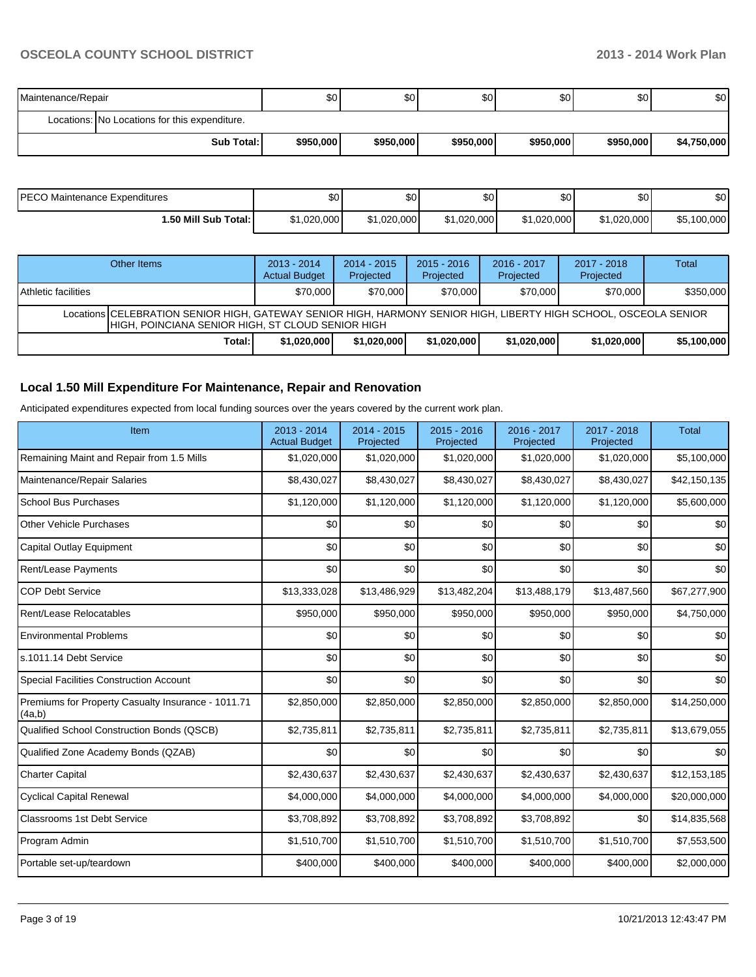| Maintenance/Repair |                                               | \$0 <sub>1</sub> | \$0       | \$0       | ا 30      | \$0       | \$0         |
|--------------------|-----------------------------------------------|------------------|-----------|-----------|-----------|-----------|-------------|
|                    | Locations: No Locations for this expenditure. |                  |           |           |           |           |             |
|                    | <b>Sub Total:</b>                             | \$950,000        | \$950,000 | \$950,000 | \$950,000 | \$950,000 | \$4,750,000 |

| PECO Maintenance Expenditures | \$0         | ሶስ<br>JU.   | $\sim$<br>υυ | \$0 <sub>1</sub> | \$0         | \$0         |
|-------------------------------|-------------|-------------|--------------|------------------|-------------|-------------|
| l.50 Mill Sub Total: I        | \$1,020,000 | \$1.020.000 | \$1,020,000  | \$1,020,000      | \$1,020,000 | \$5,100,000 |

|                                                                                                                                                                         | Other Items | $2013 - 2014$<br><b>Actual Budget</b> | $2014 - 2015$<br>Projected | $2015 - 2016$<br>Projected | $2016 - 2017$<br>Projected | $2017 - 2018$<br>Projected | Total       |  |  |  |
|-------------------------------------------------------------------------------------------------------------------------------------------------------------------------|-------------|---------------------------------------|----------------------------|----------------------------|----------------------------|----------------------------|-------------|--|--|--|
| <b>Athletic facilities</b>                                                                                                                                              |             | \$70,000                              | \$70,000                   | \$70,000                   | \$70,000                   | \$70,000                   | \$350,000   |  |  |  |
| Locations   CELEBRATION SENIOR HIGH, GATEWAY SENIOR HIGH, HARMONY SENIOR HIGH, LIBERTY HIGH SCHOOL, OSCEOLA SENIOR<br>HIGH, POINCIANA SENIOR HIGH, ST CLOUD SENIOR HIGH |             |                                       |                            |                            |                            |                            |             |  |  |  |
|                                                                                                                                                                         | Total:      | \$1,020,000                           | \$1,020,000                | \$1,020,000                | \$1,020,000                | \$1,020,000                | \$5,100,000 |  |  |  |

# **Local 1.50 Mill Expenditure For Maintenance, Repair and Renovation**

Anticipated expenditures expected from local funding sources over the years covered by the current work plan.

| Item                                                         | 2013 - 2014<br><b>Actual Budget</b> | 2014 - 2015<br>Projected | $2015 - 2016$<br>Projected | 2016 - 2017<br>Projected | 2017 - 2018<br>Projected | <b>Total</b> |
|--------------------------------------------------------------|-------------------------------------|--------------------------|----------------------------|--------------------------|--------------------------|--------------|
| Remaining Maint and Repair from 1.5 Mills                    | \$1,020,000                         | \$1,020,000              | \$1,020,000                | \$1,020,000              | \$1,020,000              | \$5,100,000  |
| Maintenance/Repair Salaries                                  | \$8,430,027                         | \$8,430,027              | \$8,430,027                | \$8,430,027              | \$8,430,027              | \$42,150,135 |
| <b>School Bus Purchases</b>                                  | \$1,120,000                         | \$1,120,000              | \$1,120,000                | \$1,120,000              | \$1,120,000              | \$5,600,000  |
| <b>Other Vehicle Purchases</b>                               | \$0                                 | \$0                      | \$0                        | \$0                      | \$0                      | \$0          |
| Capital Outlay Equipment                                     | \$0                                 | \$0                      | \$0                        | \$0                      | \$0                      | \$0          |
| Rent/Lease Payments                                          | \$0                                 | \$0                      | \$0                        | \$0                      | \$0                      | \$0          |
| <b>COP Debt Service</b>                                      | \$13,333,028                        | \$13,486,929             | \$13,482,204               | \$13,488,179             | \$13,487,560             | \$67,277,900 |
| Rent/Lease Relocatables                                      | \$950,000                           | \$950,000                | \$950,000                  | \$950,000                | \$950,000                | \$4,750,000  |
| <b>Environmental Problems</b>                                | \$0                                 | \$0                      | \$0                        | \$0                      | \$0                      | \$0          |
| s.1011.14 Debt Service                                       | \$0                                 | \$0                      | \$0                        | \$0                      | \$0                      | \$0          |
| <b>Special Facilities Construction Account</b>               | \$0                                 | \$0                      | \$0                        | \$0                      | \$0                      | \$0          |
| Premiums for Property Casualty Insurance - 1011.71<br>(4a,b) | \$2,850,000                         | \$2,850,000              | \$2,850,000                | \$2,850,000              | \$2,850,000              | \$14,250,000 |
| Qualified School Construction Bonds (QSCB)                   | \$2,735,811                         | \$2,735,811              | \$2,735,811                | \$2,735,811              | \$2,735,811              | \$13,679,055 |
| Qualified Zone Academy Bonds (QZAB)                          | \$0                                 | \$0                      | \$0                        | \$0                      | \$0                      | \$0          |
| <b>Charter Capital</b>                                       | \$2,430,637                         | \$2,430,637              | \$2,430,637                | \$2,430,637              | \$2,430,637              | \$12,153,185 |
| <b>Cyclical Capital Renewal</b>                              | \$4,000,000                         | \$4,000,000              | \$4,000,000                | \$4,000,000              | \$4,000,000              | \$20,000,000 |
| <b>Classrooms 1st Debt Service</b>                           | \$3,708,892                         | \$3,708,892              | \$3,708,892                | \$3,708,892              | \$0                      | \$14,835,568 |
| Program Admin                                                | \$1,510,700                         | \$1,510,700              | \$1,510,700                | \$1,510,700              | \$1,510,700              | \$7,553,500  |
| Portable set-up/teardown                                     | \$400,000                           | \$400,000                | \$400,000                  | \$400,000                | \$400,000                | \$2,000,000  |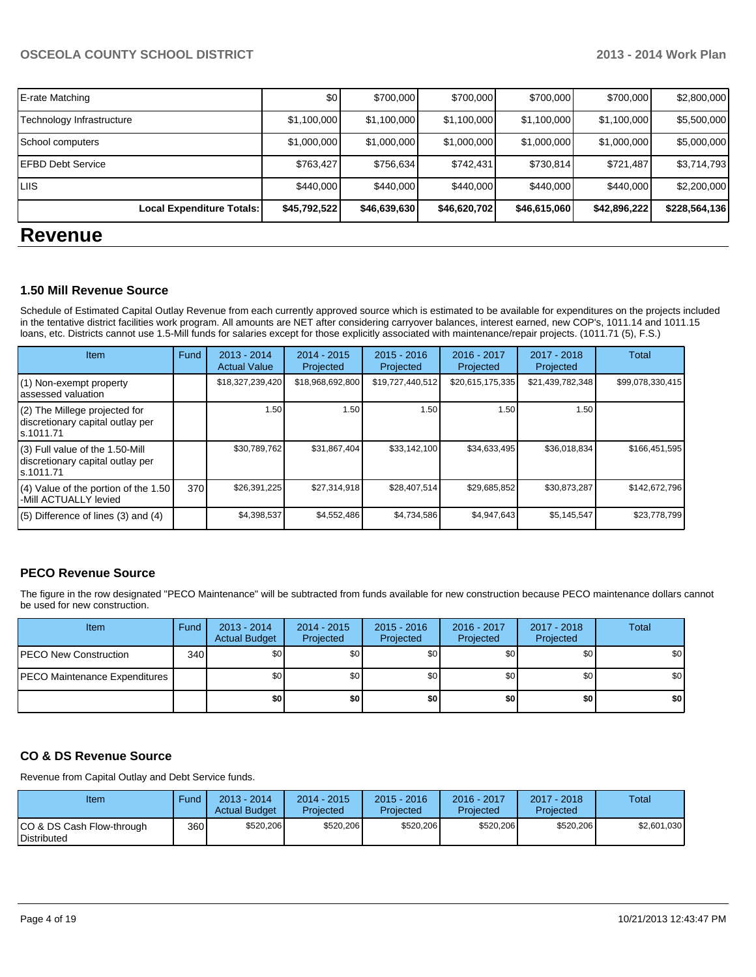|                           | Local Expenditure Totals: | \$45,792,522 | \$46,639,630 | \$46,620,702 | \$46,615,060 | \$42,896,222 | \$228,564,136 |
|---------------------------|---------------------------|--------------|--------------|--------------|--------------|--------------|---------------|
| LIIS.                     |                           | \$440,000    | \$440,000    | \$440,000    | \$440,000    | \$440,000    | \$2,200,000   |
| <b>EFBD Debt Service</b>  |                           | \$763,427    | \$756,634    | \$742,431    | \$730,814    | \$721,487    | \$3,714,793   |
| School computers          |                           | \$1,000,000  | \$1,000,000  | \$1,000,000  | \$1,000,000  | \$1,000,000  | \$5,000,000   |
| Technology Infrastructure |                           | \$1,100,000  | \$1,100,000  | \$1,100,000  | \$1,100,000  | \$1,100,000  | \$5,500,000   |
| E-rate Matching           |                           | \$0          | \$700,000    | \$700,000    | \$700,000    | \$700,000    | \$2,800,000   |

# **Revenue**

#### **1.50 Mill Revenue Source**

Schedule of Estimated Capital Outlay Revenue from each currently approved source which is estimated to be available for expenditures on the projects included in the tentative district facilities work program. All amounts are NET after considering carryover balances, interest earned, new COP's, 1011.14 and 1011.15 loans, etc. Districts cannot use 1.5-Mill funds for salaries except for those explicitly associated with maintenance/repair projects. (1011.71 (5), F.S.)

| Item                                                                                | Fund | 2013 - 2014<br><b>Actual Value</b> | $2014 - 2015$<br>Projected | $2015 - 2016$<br>Projected | $2016 - 2017$<br>Projected | 2017 - 2018<br>Projected | Total            |
|-------------------------------------------------------------------------------------|------|------------------------------------|----------------------------|----------------------------|----------------------------|--------------------------|------------------|
| (1) Non-exempt property<br>lassessed valuation                                      |      | \$18,327,239,420                   | \$18,968,692,800           | \$19,727,440,512           | \$20,615,175,335           | \$21,439,782,348         | \$99,078,330,415 |
| (2) The Millege projected for<br>discretionary capital outlay per<br>ls.1011.71     |      | 1.50                               | 1.50                       | 1.50                       | 1.50                       | 1.50 l                   |                  |
| $(3)$ Full value of the 1.50-Mill<br>discretionary capital outlay per<br>ls.1011.71 |      | \$30,789,762                       | \$31,867,404               | \$33,142,100               | \$34,633,495               | \$36,018,834             | \$166,451,595    |
| $(4)$ Value of the portion of the 1.50<br>-Mill ACTUALLY levied                     | 370  | \$26,391,225                       | \$27,314,918               | \$28,407,514               | \$29,685,852               | \$30,873,287             | \$142,672,796    |
| $(5)$ Difference of lines (3) and (4)                                               |      | \$4,398,537                        | \$4,552,486                | \$4,734,586                | \$4.947.643                | \$5,145,547              | \$23,778,799     |

### **PECO Revenue Source**

The figure in the row designated "PECO Maintenance" will be subtracted from funds available for new construction because PECO maintenance dollars cannot be used for new construction.

| <b>Item</b>                          | Fund | $2013 - 2014$<br><b>Actual Budget</b> | $2014 - 2015$<br>Projected | $2015 - 2016$<br>Projected | 2016 - 2017<br>Projected | 2017 - 2018<br>Projected | Total |
|--------------------------------------|------|---------------------------------------|----------------------------|----------------------------|--------------------------|--------------------------|-------|
| <b>IPECO New Construction</b>        | 340  | \$0                                   | \$0 <sub>1</sub>           | \$0 <sub>1</sub>           | \$OI                     | \$0 I                    | \$0   |
| <b>PECO Maintenance Expenditures</b> |      | \$0                                   | \$0                        | \$0 <sub>1</sub>           | \$٥Ι                     | \$0                      | \$0   |
|                                      |      | \$0                                   | \$0                        | \$0                        | \$0 I                    | \$0                      | \$0   |

### **CO & DS Revenue Source**

Revenue from Capital Outlay and Debt Service funds.

| Item                                               | Fund  | 2013 - 2014<br><b>Actual Budget</b> | $2014 - 2015$<br>Projected | $2015 - 2016$<br>Projected | 2016 - 2017<br>Projected | $2017 - 2018$<br>Projected | Total       |
|----------------------------------------------------|-------|-------------------------------------|----------------------------|----------------------------|--------------------------|----------------------------|-------------|
| ICO & DS Cash Flow-through<br><b>I</b> Distributed | 360 l | \$520,206                           | \$520,206                  | \$520,206                  | \$520,206                | \$520,206                  | \$2,601,030 |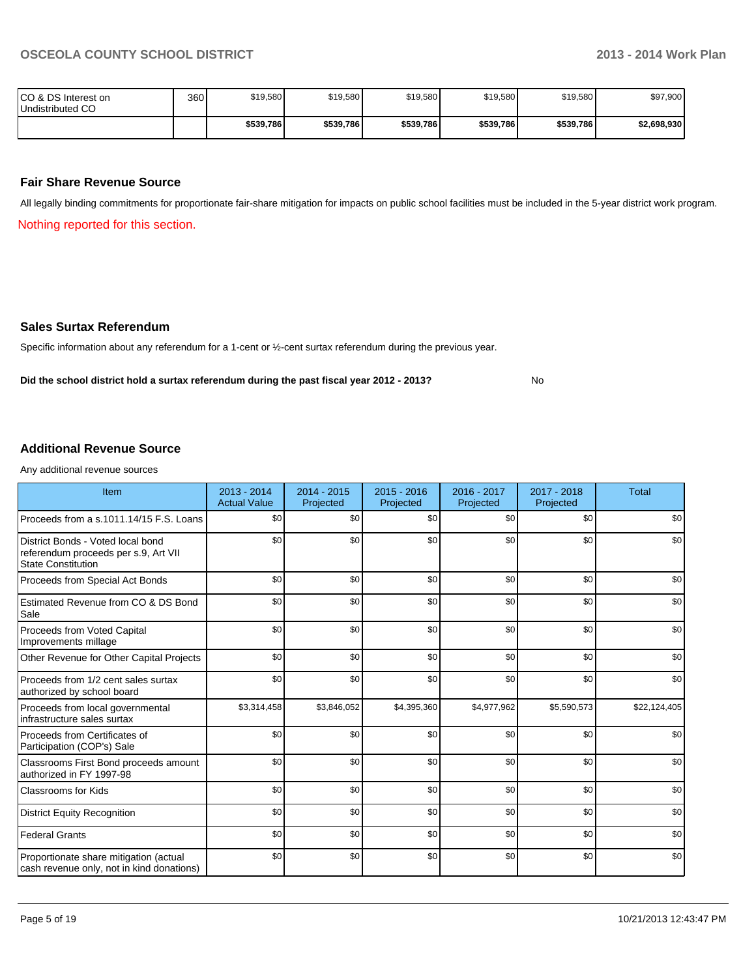No

| ICO & DS Interest on<br>Undistributed CO | 360 | \$19,580  | \$19,580  | \$19,580  | \$19,580  | \$19,580  | \$97,900    |
|------------------------------------------|-----|-----------|-----------|-----------|-----------|-----------|-------------|
|                                          |     | \$539,786 | \$539,786 | \$539,786 | \$539,786 | \$539,786 | \$2,698,930 |

#### **Fair Share Revenue Source**

All legally binding commitments for proportionate fair-share mitigation for impacts on public school facilities must be included in the 5-year district work program.

Nothing reported for this section.

#### **Sales Surtax Referendum**

Specific information about any referendum for a 1-cent or ½-cent surtax referendum during the previous year.

**Did the school district hold a surtax referendum during the past fiscal year 2012 - 2013?**

**Additional Revenue Source**

Any additional revenue sources

| Item                                                                                                   | 2013 - 2014<br><b>Actual Value</b> | 2014 - 2015<br>Projected | $2015 - 2016$<br>Projected | 2016 - 2017<br>Projected | 2017 - 2018<br>Projected | <b>Total</b> |
|--------------------------------------------------------------------------------------------------------|------------------------------------|--------------------------|----------------------------|--------------------------|--------------------------|--------------|
| Proceeds from a s.1011.14/15 F.S. Loans                                                                | \$0                                | \$0                      | \$0                        | \$0                      | \$0                      | \$0          |
| District Bonds - Voted local bond<br>referendum proceeds per s.9, Art VII<br><b>State Constitution</b> | \$0                                | \$0                      | \$0                        | \$0                      | \$0                      | \$0          |
| Proceeds from Special Act Bonds                                                                        | \$0                                | \$0                      | \$0                        | \$0                      | \$0                      | \$0          |
| Estimated Revenue from CO & DS Bond<br>Sale                                                            | \$0                                | \$0                      | \$0                        | \$0                      | \$0                      | \$0          |
| Proceeds from Voted Capital<br>Improvements millage                                                    | \$0                                | \$0                      | \$0                        | \$0                      | \$0                      | \$0          |
| Other Revenue for Other Capital Projects                                                               | \$0                                | \$0                      | \$0                        | \$0                      | \$0                      | \$0          |
| Proceeds from 1/2 cent sales surtax<br>authorized by school board                                      | \$0                                | \$0                      | \$0                        | \$0                      | \$0                      | \$0          |
| Proceeds from local governmental<br>infrastructure sales surtax                                        | \$3,314,458                        | \$3,846,052              | \$4,395,360                | \$4,977,962              | \$5,590,573              | \$22,124,405 |
| Proceeds from Certificates of<br>Participation (COP's) Sale                                            | \$0                                | \$0                      | \$0                        | \$0                      | \$0                      | \$0          |
| Classrooms First Bond proceeds amount<br>authorized in FY 1997-98                                      | \$0                                | \$0                      | \$0                        | \$0                      | \$0                      | \$0          |
| <b>Classrooms for Kids</b>                                                                             | \$0                                | \$0                      | \$0                        | \$0                      | \$0                      | \$0          |
| <b>District Equity Recognition</b>                                                                     | \$0                                | \$0                      | \$0                        | \$0                      | \$0                      | \$0          |
| <b>Federal Grants</b>                                                                                  | \$0                                | \$0                      | \$0                        | \$0                      | \$0                      | \$0          |
| Proportionate share mitigation (actual<br>cash revenue only, not in kind donations)                    | \$0                                | \$0                      | \$0                        | \$0                      | \$0                      | \$0          |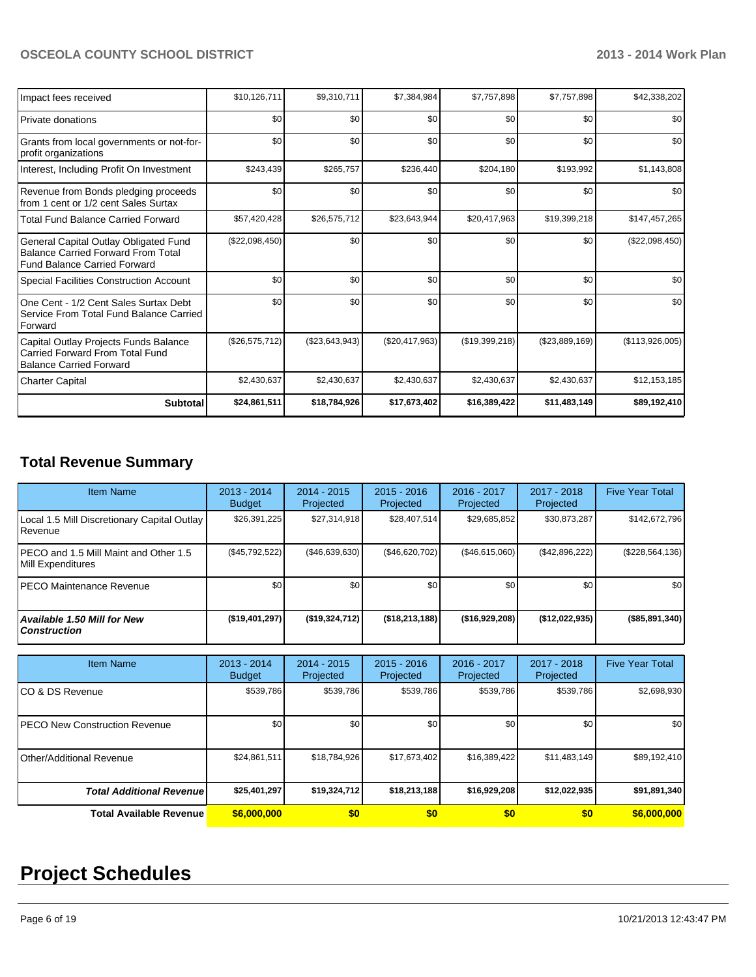| Impact fees received                                                                                                      | \$10,126,711   | \$9,310,711    | \$7,384,984      | \$7,757,898    | \$7,757,898      | \$42,338,202    |
|---------------------------------------------------------------------------------------------------------------------------|----------------|----------------|------------------|----------------|------------------|-----------------|
| l Private donations                                                                                                       | \$0            | \$0            | \$0              | \$0            | \$0              | \$0             |
| Grants from local governments or not-for-<br>profit organizations                                                         | \$0            | \$0            | \$0              | \$0            | \$0              | \$0             |
| Interest, Including Profit On Investment                                                                                  | \$243,439      | \$265,757      | \$236,440        | \$204,180      | \$193,992        | \$1,143,808     |
| Revenue from Bonds pledging proceeds<br>from 1 cent or 1/2 cent Sales Surtax                                              | \$0            | \$0            | \$0              | \$0            | \$0              | \$0             |
| Total Fund Balance Carried Forward                                                                                        | \$57,420,428   | \$26,575,712   | \$23,643,944     | \$20,417,963   | \$19,399,218     | \$147,457,265   |
| General Capital Outlay Obligated Fund<br><b>Balance Carried Forward From Total</b><br><b>Fund Balance Carried Forward</b> | (\$22,098,450) | \$0            | \$0              | \$0            | \$0              | (\$22,098,450)  |
| <b>Special Facilities Construction Account</b>                                                                            | \$0            | \$0            | \$0              | \$0            | \$0              | \$0             |
| One Cent - 1/2 Cent Sales Surtax Debt<br>Service From Total Fund Balance Carried<br>Forward                               | \$0            | \$0            | \$0              | \$0            | \$0              | \$0             |
| Capital Outlay Projects Funds Balance<br>Carried Forward From Total Fund<br><b>Balance Carried Forward</b>                | (\$26,575,712) | (\$23,643,943) | $(\$20,417,963)$ | (\$19,399,218) | $(\$23,889,169)$ | (\$113,926,005) |
| <b>Charter Capital</b>                                                                                                    | \$2,430,637    | \$2,430,637    | \$2,430,637      | \$2,430,637    | \$2,430,637      | \$12,153,185    |
| <b>Subtotal</b>                                                                                                           | \$24,861,511   | \$18,784,926   | \$17,673,402     | \$16,389,422   | \$11,483,149     | \$89,192,410    |

# **Total Revenue Summary**

| <b>Item Name</b>                                            | $2013 - 2014$<br><b>Budget</b> | $2014 - 2015$<br>Projected | $2015 - 2016$<br>Projected | $2016 - 2017$<br>Projected | $2017 - 2018$<br>Projected | <b>Five Year Total</b> |
|-------------------------------------------------------------|--------------------------------|----------------------------|----------------------------|----------------------------|----------------------------|------------------------|
| Local 1.5 Mill Discretionary Capital Outlay<br>Revenue      | \$26,391,225                   | \$27,314,918               | \$28,407,514               | \$29,685,852               | \$30,873,287               | \$142,672,796          |
| IPECO and 1.5 Mill Maint and Other 1.5<br>Mill Expenditures | $(\$45,792,522)$               | ( \$46,639,630)            | (\$46,620,702)             | (\$46,615,060)             | (\$42,896,222)             | $(\$228,564,136)$      |
| IPECO Maintenance Revenue                                   | \$0 <sub>1</sub>               | \$0                        | \$0                        | \$0                        | \$0                        | \$0                    |
| <b>Available 1.50 Mill for New</b><br><b>Construction</b>   | $($ \$19,401,297)              | ( \$19, 324, 712)          | ( \$18, 213, 188]          | ( \$16, 929, 208)          | ( \$12,022,935)            | (\$85,891,340)         |

| <b>Item Name</b>                      | $2013 - 2014$<br><b>Budget</b> | $2014 - 2015$<br>Projected | $2015 - 2016$<br>Projected | 2016 - 2017<br>Projected | 2017 - 2018<br>Projected | <b>Five Year Total</b> |
|---------------------------------------|--------------------------------|----------------------------|----------------------------|--------------------------|--------------------------|------------------------|
| ICO & DS Revenue                      | \$539,786                      | \$539,786                  | \$539,786                  | \$539,786                | \$539,786                | \$2,698,930            |
| <b>IPECO New Construction Revenue</b> | \$0                            | \$0                        | \$0                        | \$0                      | \$0                      | \$0                    |
| Other/Additional Revenue              | \$24,861,511                   | \$18,784,926               | \$17,673,402               | \$16,389,422             | \$11,483,149             | \$89,192,410           |
| <b>Total Additional Revenuel</b>      | \$25,401,297                   | \$19,324,712               | \$18,213,188               | \$16,929,208             | \$12,022,935             | \$91,891,340           |
| <b>Total Available Revenue</b>        | \$6,000,000                    | \$0                        | \$0                        | \$0                      | \$0                      | \$6,000,000            |

# **Project Schedules**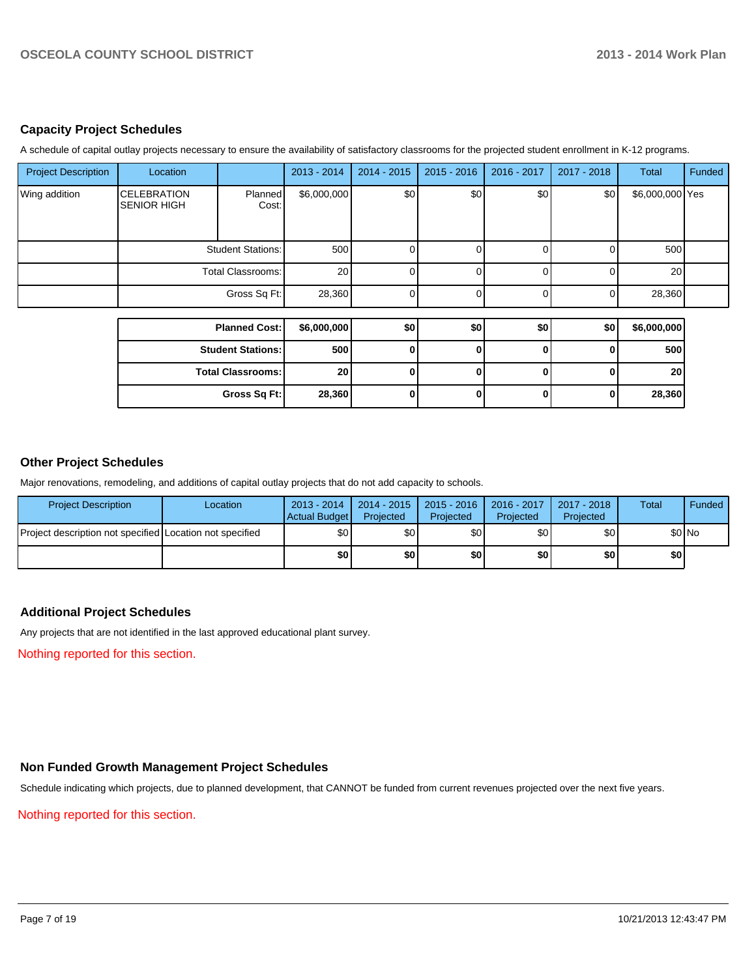### **Capacity Project Schedules**

A schedule of capital outlay projects necessary to ensure the availability of satisfactory classrooms for the projected student enrollment in K-12 programs.

| <b>Project Description</b> | Location                                 |                          | 2013 - 2014 | $2014 - 2015$ | $2015 - 2016$ | 2016 - 2017 | 2017 - 2018 | Total           | Funded |
|----------------------------|------------------------------------------|--------------------------|-------------|---------------|---------------|-------------|-------------|-----------------|--------|
| Wing addition              | <b>CELEBRATION</b><br><b>SENIOR HIGH</b> | <b>Planned</b><br>Cost:  | \$6,000,000 | \$0           | \$0           | \$0         | \$0         | \$6,000,000 Yes |        |
|                            |                                          | <b>Student Stations:</b> | 500         |               |               |             |             | 500             |        |
|                            |                                          | <b>Total Classrooms:</b> | 20          |               |               |             |             | 20              |        |
|                            |                                          | Gross Sq Ft:             | 28,360      |               |               |             |             | 28,360          |        |
|                            |                                          |                          |             |               |               |             |             |                 |        |
|                            |                                          | <b>Planned Cost:</b>     | \$6,000,000 | \$0           | \$0           | \$0         | \$0         | \$6,000,000     |        |
|                            |                                          | <b>Student Stations:</b> | 500         |               |               |             | 0           | <b>500</b>      |        |
|                            |                                          | <b>Total Classrooms:</b> | 20          | ΩI            |               | U           | O           | 20 <sub>l</sub> |        |
|                            |                                          | Gross Sq Ft:             | 28,360      | 0             |               | 0           | 0           | 28,360          |        |

#### **Other Project Schedules**

Major renovations, remodeling, and additions of capital outlay projects that do not add capacity to schools.

| <b>Project Description</b>                               | Location | 2013 - 2014<br>Actual Budget | $12014 - 2015$<br>Projected | 2015 - 2016<br>Projected | 2016 - 2017<br>Projected | 2017 - 2018<br>Projected | Total | <b>Funded</b> |
|----------------------------------------------------------|----------|------------------------------|-----------------------------|--------------------------|--------------------------|--------------------------|-------|---------------|
| Project description not specified Location not specified |          | \$0                          | \$0                         | \$0                      | \$0                      | \$0                      |       | \$0 No        |
|                                                          |          | \$0                          | \$0                         | \$0                      | \$0                      | \$0                      | \$0   |               |

#### **Additional Project Schedules**

Any projects that are not identified in the last approved educational plant survey.

Nothing reported for this section.

# **Non Funded Growth Management Project Schedules**

Schedule indicating which projects, due to planned development, that CANNOT be funded from current revenues projected over the next five years.

Nothing reported for this section.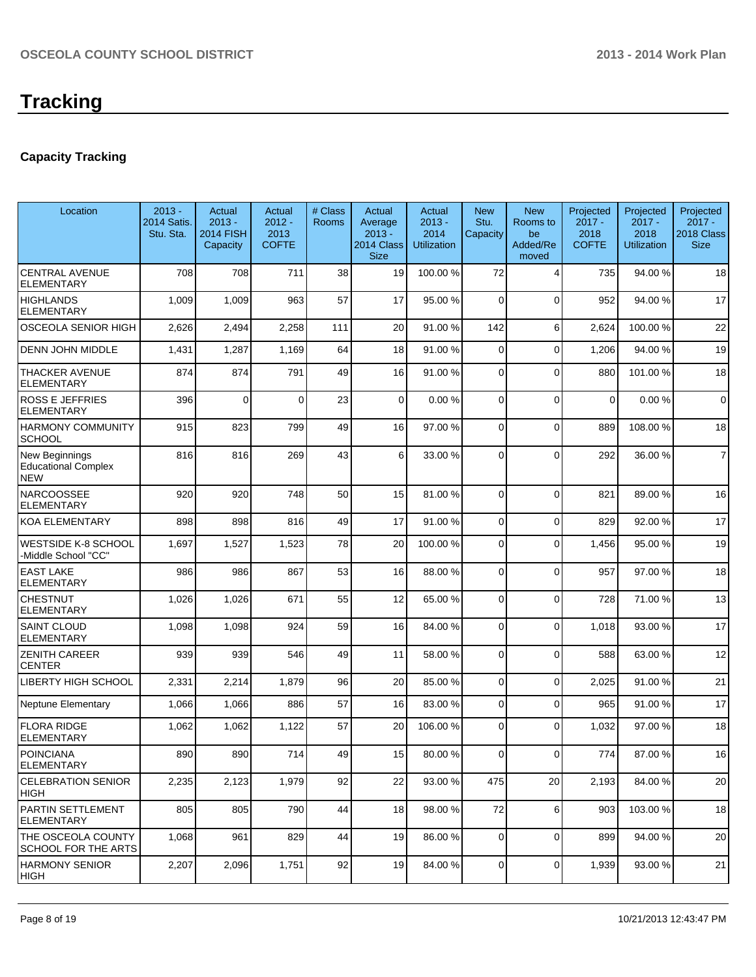# **Capacity Tracking**

| Location                                                   | $2013 -$<br>2014 Satis.<br>Stu. Sta. | Actual<br>$2013 -$<br><b>2014 FISH</b><br>Capacity | Actual<br>$2012 -$<br>2013<br><b>COFTE</b> | # Class<br><b>Rooms</b> | Actual<br>Average<br>$2013 -$<br>2014 Class<br><b>Size</b> | Actual<br>$2013 -$<br>2014<br><b>Utilization</b> | <b>New</b><br>Stu.<br>Capacity | <b>New</b><br>Rooms to<br>be<br>Added/Re<br>moved | Projected<br>$2017 -$<br>2018<br><b>COFTE</b> | Projected<br>$2017 -$<br>2018<br><b>Utilization</b> | Projected<br>$2017 -$<br>2018 Class<br><b>Size</b> |
|------------------------------------------------------------|--------------------------------------|----------------------------------------------------|--------------------------------------------|-------------------------|------------------------------------------------------------|--------------------------------------------------|--------------------------------|---------------------------------------------------|-----------------------------------------------|-----------------------------------------------------|----------------------------------------------------|
| <b>CENTRAL AVENUE</b><br><b>ELEMENTARY</b>                 | 708                                  | 708                                                | 711                                        | 38                      | 19                                                         | 100.00 %                                         | 72                             | 4                                                 | 735                                           | 94.00%                                              | 18                                                 |
| <b>HIGHLANDS</b><br><b>ELEMENTARY</b>                      | 1,009                                | 1,009                                              | 963                                        | 57                      | 17                                                         | 95.00 %                                          | 0                              | $\Omega$                                          | 952                                           | 94.00%                                              | 17                                                 |
| OSCEOLA SENIOR HIGH                                        | 2,626                                | 2,494                                              | 2,258                                      | 111                     | 20                                                         | 91.00 %                                          | 142                            | 6                                                 | 2,624                                         | 100.00%                                             | 22                                                 |
| <b>DENN JOHN MIDDLE</b>                                    | 1,431                                | 1,287                                              | 1,169                                      | 64                      | 18                                                         | 91.00 %                                          | 0                              | $\Omega$                                          | 1,206                                         | 94.00%                                              | 19                                                 |
| <b>THACKER AVENUE</b><br><b>ELEMENTARY</b>                 | 874                                  | 874                                                | 791                                        | 49                      | 16                                                         | 91.00%                                           | $\Omega$                       | $\Omega$                                          | 880                                           | 101.00%                                             | 18                                                 |
| <b>ROSS E JEFFRIES</b><br><b>ELEMENTARY</b>                | 396                                  | $\mathbf{0}$                                       | $\Omega$                                   | 23                      | $\overline{0}$                                             | 0.00%                                            | 0                              | $\Omega$                                          | $\mathbf 0$                                   | 0.00%                                               | $\mathbf 0$                                        |
| <b>HARMONY COMMUNITY</b><br><b>SCHOOL</b>                  | 915                                  | 823                                                | 799                                        | 49                      | 16                                                         | 97.00 %                                          | $\Omega$                       | $\Omega$                                          | 889                                           | 108.00%                                             | 18                                                 |
| New Beginnings<br><b>Educational Complex</b><br><b>NEW</b> | 816                                  | 816                                                | 269                                        | 43                      | 6                                                          | 33.00 %                                          | $\Omega$                       | $\Omega$                                          | 292                                           | 36.00 %                                             | $\overline{7}$                                     |
| <b>NARCOOSSEE</b><br><b>ELEMENTARY</b>                     | 920                                  | 920                                                | 748                                        | 50                      | 15                                                         | 81.00 %                                          | $\Omega$                       | $\Omega$                                          | 821                                           | 89.00%                                              | 16                                                 |
| <b>KOA ELEMENTARY</b>                                      | 898                                  | 898                                                | 816                                        | 49                      | 17                                                         | 91.00 %                                          | 0                              | $\Omega$                                          | 829                                           | 92.00%                                              | 17                                                 |
| <b>WESTSIDE K-8 SCHOOL</b><br>-Middle School "CC"          | 1,697                                | 1,527                                              | 1,523                                      | 78                      | 20                                                         | 100.00 %                                         | 0                              | $\Omega$                                          | 1,456                                         | 95.00 %                                             | 19                                                 |
| <b>EAST LAKE</b><br><b>ELEMENTARY</b>                      | 986                                  | 986                                                | 867                                        | 53                      | 16                                                         | 88.00 %                                          | $\Omega$                       | $\Omega$                                          | 957                                           | 97.00 %                                             | 18                                                 |
| <b>CHESTNUT</b><br><b>ELEMENTARY</b>                       | 1,026                                | 1,026                                              | 671                                        | 55                      | 12                                                         | 65.00 %                                          | 0                              | $\Omega$                                          | 728                                           | 71.00%                                              | 13                                                 |
| <b>SAINT CLOUD</b><br><b>ELEMENTARY</b>                    | 1,098                                | 1,098                                              | 924                                        | 59                      | 16                                                         | 84.00 %                                          | $\Omega$                       | $\Omega$                                          | 1,018                                         | 93.00 %                                             | 17                                                 |
| <b>ZENITH CAREER</b><br><b>CENTER</b>                      | 939                                  | 939                                                | 546                                        | 49                      | 11                                                         | 58.00 %                                          | $\Omega$                       | $\Omega$                                          | 588                                           | 63.00 %                                             | 12                                                 |
| <b>LIBERTY HIGH SCHOOL</b>                                 | 2,331                                | 2,214                                              | 1,879                                      | 96                      | 20                                                         | 85.00 %                                          | $\Omega$                       | $\Omega$                                          | 2,025                                         | 91.00%                                              | 21                                                 |
| <b>Neptune Elementary</b>                                  | 1,066                                | 1,066                                              | 886                                        | 57                      | 16                                                         | 83.00 %                                          | $\overline{0}$                 | $\Omega$                                          | 965                                           | 91.00%                                              | 17                                                 |
| <b>FLORA RIDGE</b><br><b>ELEMENTARY</b>                    | 1,062                                | 1,062                                              | 1,122                                      | 57                      | 20                                                         | 106.00 %                                         | $\Omega$                       | $\Omega$                                          | 1,032                                         | 97.00 %                                             | 18                                                 |
| POINCIANA<br><b>ELEMENTARY</b>                             | 890                                  | 890                                                | 714                                        | 49                      | 15                                                         | 80.00%                                           | $\vert 0 \vert$                | $\overline{0}$                                    | 774                                           | 87.00 %                                             | 16                                                 |
| <b>CELEBRATION SENIOR</b><br><b>HIGH</b>                   | 2,235                                | 2,123                                              | 1,979                                      | 92                      | 22                                                         | 93.00 %                                          | 475                            | 20                                                | 2,193                                         | 84.00%                                              | 20                                                 |
| <b>PARTIN SETTLEMENT</b><br><b>ELEMENTARY</b>              | 805                                  | 805                                                | 790                                        | 44                      | 18                                                         | 98.00 %                                          | 72                             | 6                                                 | 903                                           | 103.00 %                                            | 18                                                 |
| <b>THE OSCEOLA COUNTY</b><br><b>SCHOOL FOR THE ARTS</b>    | 1,068                                | 961                                                | 829                                        | 44                      | 19                                                         | 86.00 %                                          | $\overline{0}$                 | $\overline{0}$                                    | 899                                           | 94.00%                                              | 20                                                 |
| <b>HARMONY SENIOR</b><br>HIGH                              | 2,207                                | 2,096                                              | 1,751                                      | 92                      | 19                                                         | 84.00 %                                          | $\overline{0}$                 | $\overline{0}$                                    | 1,939                                         | 93.00 %                                             | 21                                                 |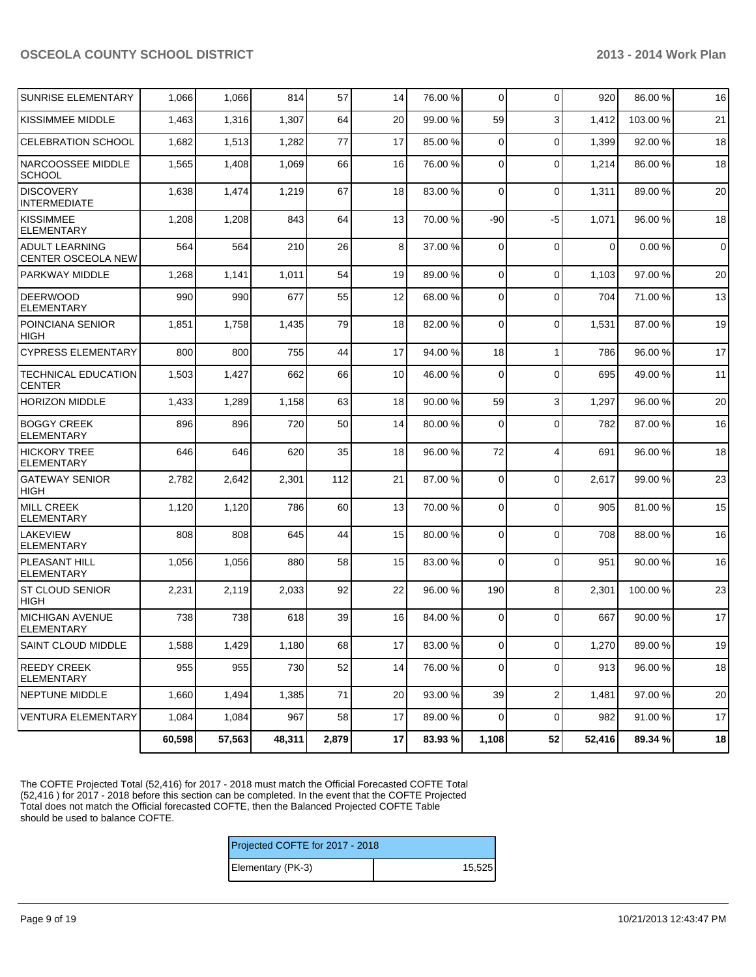| SUNRISE ELEMENTARY                          | 1,066  | 1,066  | 814    | 57    | 14 | 76.00 % | $\overline{0}$ | $\mathbf 0$    | 920         | 86.00 % | 16                  |
|---------------------------------------------|--------|--------|--------|-------|----|---------|----------------|----------------|-------------|---------|---------------------|
| KISSIMMEE MIDDLE                            | 1,463  | 1,316  | 1,307  | 64    | 20 | 99.00 % | 59             | 3              | 1,412       | 103.00% | 21                  |
| <b>CELEBRATION SCHOOL</b>                   | 1,682  | 1,513  | 1,282  | 77    | 17 | 85.00 % | $\Omega$       | $\Omega$       | 1,399       | 92.00%  | 18                  |
| NARCOOSSEE MIDDLE<br><b>SCHOOL</b>          | 1,565  | 1,408  | 1,069  | 66    | 16 | 76.00 % | $\Omega$       | $\mathbf 0$    | 1,214       | 86.00%  | 18                  |
| <b>DISCOVERY</b><br><b>INTERMEDIATE</b>     | 1,638  | 1,474  | 1,219  | 67    | 18 | 83.00 % | $\overline{0}$ | $\mathbf 0$    | 1,311       | 89.00%  | 20                  |
| KISSIMMEE<br><b>ELEMENTARY</b>              | 1,208  | 1,208  | 843    | 64    | 13 | 70.00 % | $-90$          | $-5$           | 1,071       | 96.00%  | 18                  |
| <b>ADULT LEARNING</b><br>CENTER OSCEOLA NEW | 564    | 564    | 210    | 26    | 8  | 37.00 % | $\Omega$       | $\mathbf 0$    | $\mathbf 0$ | 0.00%   | $\mathsf{O}\xspace$ |
| PARKWAY MIDDLE                              | 1,268  | 1,141  | 1,011  | 54    | 19 | 89.00 % | $\Omega$       | $\mathbf 0$    | 1,103       | 97.00%  | 20                  |
| <b>DEERWOOD</b><br><b>ELEMENTARY</b>        | 990    | 990    | 677    | 55    | 12 | 68.00 % | $\Omega$       | $\Omega$       | 704         | 71.00%  | 13                  |
| POINCIANA SENIOR<br>HIGH                    | 1,851  | 1,758  | 1,435  | 79    | 18 | 82.00 % | $\Omega$       | $\mathbf 0$    | 1,531       | 87.00 % | 19                  |
| <b>CYPRESS ELEMENTARY</b>                   | 800    | 800    | 755    | 44    | 17 | 94.00 % | 18             | 1              | 786         | 96.00%  | 17                  |
| <b>TECHNICAL EDUCATION</b><br><b>CENTER</b> | 1,503  | 1,427  | 662    | 66    | 10 | 46.00 % | 0              | $\Omega$       | 695         | 49.00%  | 11                  |
| <b>HORIZON MIDDLE</b>                       | 1,433  | 1,289  | 1,158  | 63    | 18 | 90.00 % | 59             | 3              | 1,297       | 96.00 % | 20                  |
| <b>BOGGY CREEK</b><br><b>ELEMENTARY</b>     | 896    | 896    | 720    | 50    | 14 | 80.00 % | 0              | $\Omega$       | 782         | 87.00 % | 16                  |
| <b>HICKORY TREE</b><br><b>ELEMENTARY</b>    | 646    | 646    | 620    | 35    | 18 | 96.00 % | 72             | $\overline{4}$ | 691         | 96.00%  | 18                  |
| <b>GATEWAY SENIOR</b><br><b>HIGH</b>        | 2,782  | 2,642  | 2,301  | 112   | 21 | 87.00 % | $\overline{0}$ | $\mathbf 0$    | 2,617       | 99.00 % | 23                  |
| <b>MILL CREEK</b><br><b>ELEMENTARY</b>      | 1,120  | 1,120  | 786    | 60    | 13 | 70.00 % | 0              | $\mathbf 0$    | 905         | 81.00%  | 15                  |
| <b>LAKEVIEW</b><br><b>ELEMENTARY</b>        | 808    | 808    | 645    | 44    | 15 | 80.00 % | 0              | $\mathbf 0$    | 708         | 88.00 % | 16                  |
| <b>PLEASANT HILL</b><br><b>ELEMENTARY</b>   | 1,056  | 1,056  | 880    | 58    | 15 | 83.00 % | $\overline{0}$ | $\mathbf 0$    | 951         | 90.00 % | 16                  |
| ST CLOUD SENIOR<br>HIGH                     | 2,231  | 2,119  | 2,033  | 92    | 22 | 96.00 % | 190            | 8              | 2,301       | 100.00% | 23                  |
| <b>MICHIGAN AVENUE</b><br><b>ELEMENTARY</b> | 738    | 738    | 618    | 39    | 16 | 84.00 % | $\mathbf 0$    | $\Omega$       | 667         | 90.00%  | 17                  |
| SAINT CLOUD MIDDLE                          | 1,588  | 1,429  | 1,180  | 68    | 17 | 83.00 % | $\overline{0}$ | $\overline{O}$ | 1,270       | 89.00 % | 19                  |
| <b>REEDY CREEK</b><br><b>ELEMENTARY</b>     | 955    | 955    | 730    | 52    | 14 | 76.00 % | $\overline{0}$ | $\Omega$       | 913         | 96.00%  | 18                  |
| NEPTUNE MIDDLE                              | 1,660  | 1,494  | 1,385  | 71    | 20 | 93.00 % | 39             | $\overline{2}$ | 1,481       | 97.00 % | 20                  |
| VENTURA ELEMENTARY                          | 1,084  | 1,084  | 967    | 58    | 17 | 89.00 % | $\overline{0}$ | $\pmb{0}$      | 982         | 91.00%  | 17                  |
|                                             | 60,598 | 57,563 | 48,311 | 2,879 | 17 | 83.93 % | 1,108          | 52             | 52,416      | 89.34 % | 18                  |

The COFTE Projected Total (52,416) for 2017 - 2018 must match the Official Forecasted COFTE Total (52,416 ) for 2017 - 2018 before this section can be completed. In the event that the COFTE Projected Total does not match the Official forecasted COFTE, then the Balanced Projected COFTE Table should be used to balance COFTE.

| Projected COFTE for 2017 - 2018 |        |
|---------------------------------|--------|
| Elementary (PK-3)               | 15.525 |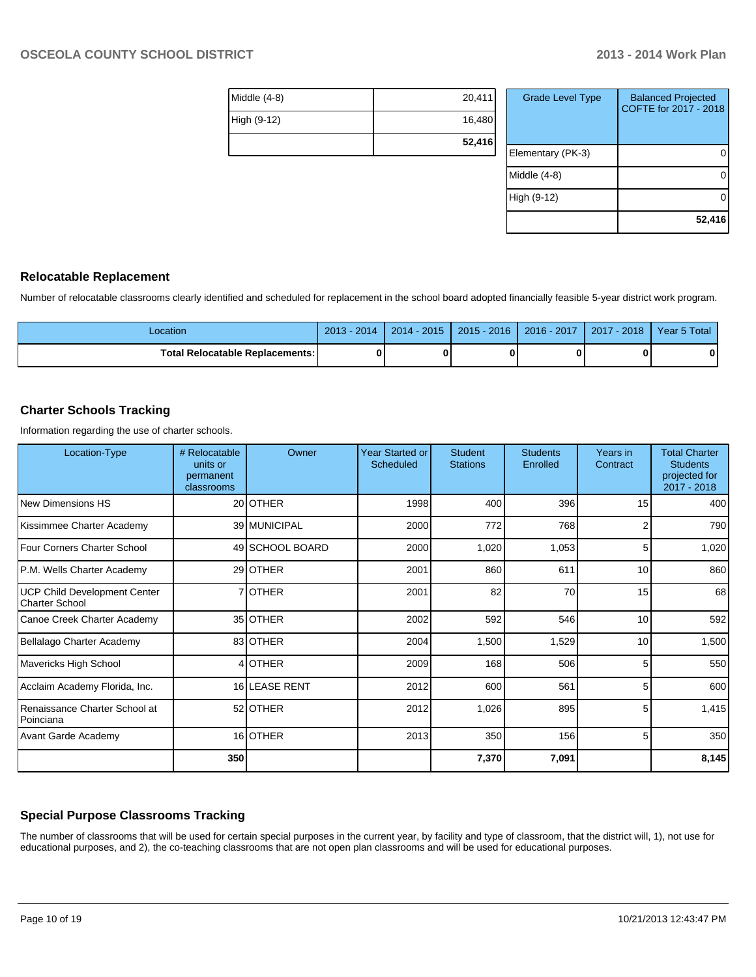| Middle $(4-8)$ | 20,411 |
|----------------|--------|
| High (9-12)    | 16,480 |
|                | 52,416 |

| <b>Grade Level Type</b> | <b>Balanced Projected</b><br>COFTE for 2017 - 2018 |
|-------------------------|----------------------------------------------------|
| Elementary (PK-3)       |                                                    |
| Middle (4-8)            |                                                    |
| High (9-12)             |                                                    |
|                         | 52,416                                             |

#### **Relocatable Replacement**

Number of relocatable classrooms clearly identified and scheduled for replacement in the school board adopted financially feasible 5-year district work program.

| -ocation                        | 2013<br>2014 | $-2015$<br>2014 | $2015 - 2016$ | 2016 - 2017 | $-2018$<br>2017 | 5 Total<br>vear. |
|---------------------------------|--------------|-----------------|---------------|-------------|-----------------|------------------|
| Total Relocatable Replacements: | 0            |                 |               |             |                 |                  |

### **Charter Schools Tracking**

Information regarding the use of charter schools.

| Location-Type                                         | # Relocatable<br>units or<br>permanent<br>classrooms | Owner           | Year Started or<br>Scheduled | <b>Student</b><br><b>Stations</b> | <b>Students</b><br>Enrolled | Years in<br>Contract | <b>Total Charter</b><br><b>Students</b><br>projected for<br>2017 - 2018 |
|-------------------------------------------------------|------------------------------------------------------|-----------------|------------------------------|-----------------------------------|-----------------------------|----------------------|-------------------------------------------------------------------------|
| <b>New Dimensions HS</b>                              |                                                      | 20 OTHER        | 1998                         | 400                               | 396                         | 15                   | 400                                                                     |
| Kissimmee Charter Academy                             |                                                      | 39 MUNICIPAL    | 2000                         | 772                               | 768                         | 2                    | 790                                                                     |
| Four Corners Charter School                           |                                                      | 49 SCHOOL BOARD | 2000                         | 1,020                             | 1,053                       | 5                    | 1,020                                                                   |
| P.M. Wells Charter Academy                            |                                                      | 29 OTHER        | 2001                         | 860                               | 611                         | 10                   | 860                                                                     |
| <b>UCP Child Development Center</b><br>Charter School |                                                      | 7OTHER          | 2001                         | 82                                | 70                          | 15                   | 68                                                                      |
| Canoe Creek Charter Academy                           |                                                      | 35 OTHER        | 2002                         | 592                               | 546                         | 10                   | 592                                                                     |
| Bellalago Charter Academy                             |                                                      | 83 OTHER        | 2004                         | 1,500                             | 1,529                       | 10                   | 1,500                                                                   |
| Mavericks High School                                 |                                                      | 4 OTHER         | 2009                         | 168                               | 506                         | 5                    | 550                                                                     |
| Acclaim Academy Florida, Inc.                         |                                                      | 16 LEASE RENT   | 2012                         | 600                               | 561                         | 5                    | 600                                                                     |
| Renaissance Charter School at<br>Poinciana            |                                                      | 52 OTHER        | 2012                         | 1,026                             | 895                         | 5                    | 1,415                                                                   |
| <b>Avant Garde Academy</b>                            |                                                      | 16 OTHER        | 2013                         | 350                               | 156                         | 5                    | 350                                                                     |
|                                                       | 350                                                  |                 |                              | 7,370                             | 7,091                       |                      | 8,145                                                                   |

#### **Special Purpose Classrooms Tracking**

The number of classrooms that will be used for certain special purposes in the current year, by facility and type of classroom, that the district will, 1), not use for educational purposes, and 2), the co-teaching classrooms that are not open plan classrooms and will be used for educational purposes.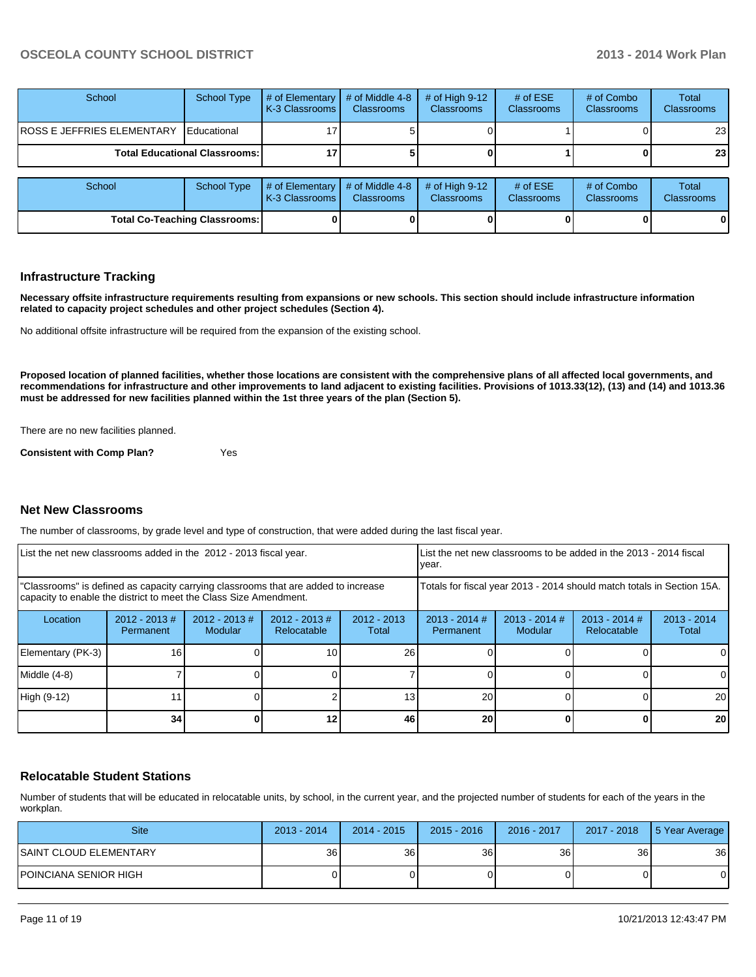| School                                 | <b>School Type</b>   | # of Elementary<br><b>IK-3 Classrooms I</b>   | # of Middle 4-8<br><b>Classrooms</b> | # of High $9-12$<br><b>Classrooms</b> | # of $ESE$<br><b>Classrooms</b> | # of Combo<br><b>Classrooms</b> | Total<br><b>Classrooms</b> |
|----------------------------------------|----------------------|-----------------------------------------------|--------------------------------------|---------------------------------------|---------------------------------|---------------------------------|----------------------------|
| <b>ROSS E JEFFRIES ELEMENTARY</b>      | <b>I</b> Educational |                                               |                                      |                                       |                                 |                                 | 23                         |
| <b>Total Educational Classrooms: I</b> |                      |                                               |                                      |                                       |                                 |                                 | 23 <sub>1</sub>            |
|                                        |                      |                                               |                                      |                                       |                                 |                                 |                            |
| School                                 | <b>School Type</b>   | $\#$ of Elementary<br><b>K-3 Classrooms I</b> | # of Middle 4-8<br><b>Classrooms</b> | # of High $9-12$<br><b>Classrooms</b> | # of $ESE$<br><b>Classrooms</b> | # of Combo<br>Classrooms        | Total<br>Classrooms        |

**Total Co-Teaching Classrooms: 0 0 0 0 0 0**

#### **Infrastructure Tracking**

**Necessary offsite infrastructure requirements resulting from expansions or new schools. This section should include infrastructure information related to capacity project schedules and other project schedules (Section 4).**

No additional offsite infrastructure will be required from the expansion of the existing school.

**Proposed location of planned facilities, whether those locations are consistent with the comprehensive plans of all affected local governments, and recommendations for infrastructure and other improvements to land adjacent to existing facilities. Provisions of 1013.33(12), (13) and (14) and 1013.36 must be addressed for new facilities planned within the 1st three years of the plan (Section 5).**

There are no new facilities planned.

**Consistent with Comp Plan?** Yes

#### **Net New Classrooms**

The number of classrooms, by grade level and type of construction, that were added during the last fiscal year.

|                                                                                                                                                         | List the net new classrooms added in the 2012 - 2013 fiscal year. |                                 |                              |                        | List the net new classrooms to be added in the 2013 - 2014 fiscal<br>year. |                            |                                |                        |
|---------------------------------------------------------------------------------------------------------------------------------------------------------|-------------------------------------------------------------------|---------------------------------|------------------------------|------------------------|----------------------------------------------------------------------------|----------------------------|--------------------------------|------------------------|
| "Classrooms" is defined as capacity carrying classrooms that are added to increase<br>capacity to enable the district to meet the Class Size Amendment. |                                                                   |                                 |                              |                        | Totals for fiscal year 2013 - 2014 should match totals in Section 15A.     |                            |                                |                        |
| Location                                                                                                                                                | $2012 - 2013$ #<br>Permanent                                      | 2012 - 2013 #<br><b>Modular</b> | 2012 - 2013 #<br>Relocatable | $2012 - 2013$<br>Total | $2013 - 2014$ #<br>Permanent                                               | $2013 - 2014$ #<br>Modular | $2013 - 2014$ #<br>Relocatable | $2013 - 2014$<br>Total |
| Elementary (PK-3)                                                                                                                                       | 16                                                                |                                 | 10                           | 26                     |                                                                            |                            |                                | $\Omega$               |
| Middle (4-8)                                                                                                                                            |                                                                   |                                 |                              |                        |                                                                            |                            |                                | $\Omega$               |
| High (9-12)                                                                                                                                             |                                                                   |                                 |                              | 13 <sub>1</sub>        | 20                                                                         |                            |                                | 20                     |
|                                                                                                                                                         | 34                                                                |                                 |                              | 46                     | 20                                                                         |                            | 0                              | 20                     |

#### **Relocatable Student Stations**

Number of students that will be educated in relocatable units, by school, in the current year, and the projected number of students for each of the years in the workplan.

| <b>Site</b>             | $2013 - 2014$ | $2014 - 2015$ | $2015 - 2016$   | 2016 - 2017     | 2017 - 2018 | 5 Year Average |
|-------------------------|---------------|---------------|-----------------|-----------------|-------------|----------------|
| ISAINT CLOUD ELEMENTARY | 36            | 36 I          | 36 <sup>1</sup> | 36 <sub>l</sub> | 36          | 36             |
| IPOINCIANA SENIOR HIGH  |               |               |                 |                 |             |                |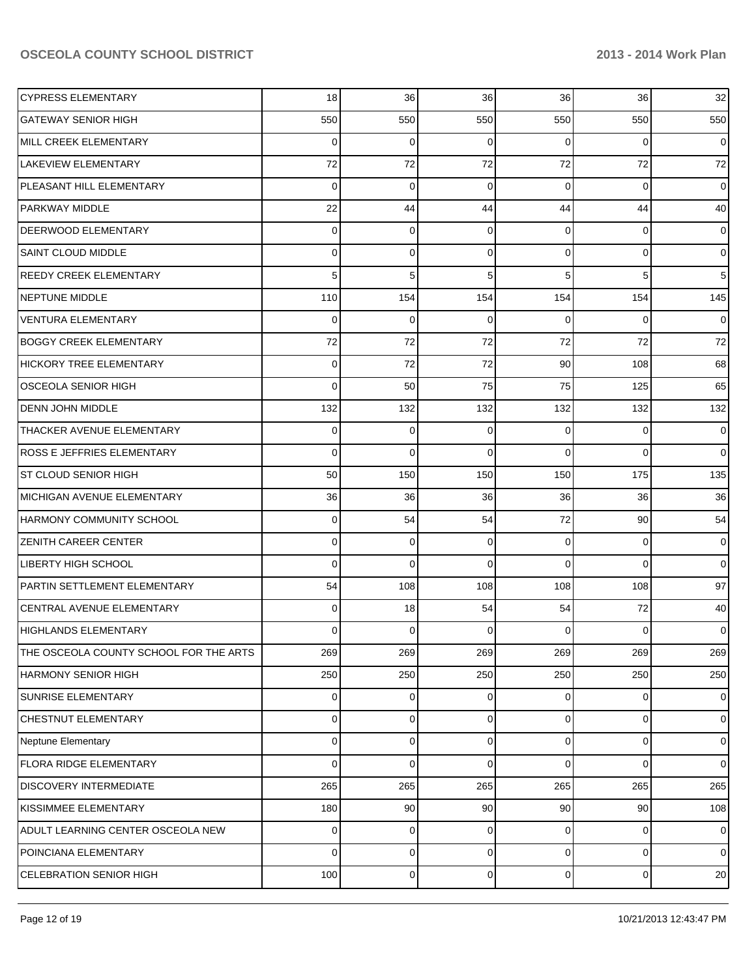| <b>CYPRESS ELEMENTARY</b>              | 18       | 36       | 36          | 36             | 36              | 32             |
|----------------------------------------|----------|----------|-------------|----------------|-----------------|----------------|
| <b>GATEWAY SENIOR HIGH</b>             | 550      | 550      | 550         | 550            | 550             | 550            |
| MILL CREEK ELEMENTARY                  | $\Omega$ | $\Omega$ | $\Omega$    | $\Omega$       | $\Omega$        | $\overline{0}$ |
| <b>LAKEVIEW ELEMENTARY</b>             | 72       | 72       | 72          | 72             | 72              | 72             |
| PLEASANT HILL ELEMENTARY               | $\Omega$ | $\Omega$ | $\Omega$    | $\Omega$       | $\Omega$        | $\overline{0}$ |
| <b>PARKWAY MIDDLE</b>                  | 22       | 44       | 44          | 44             | 44              | 40             |
| <b>DEERWOOD ELEMENTARY</b>             | $\Omega$ | $\Omega$ | $\Omega$    | $\Omega$       | $\overline{0}$  | $\overline{0}$ |
| <b>SAINT CLOUD MIDDLE</b>              | $\Omega$ | 0        | $\Omega$    | $\Omega$       | $\overline{0}$  | $\overline{0}$ |
| <b>REEDY CREEK ELEMENTARY</b>          |          | 5        | 5           | 5              | 5               | 5              |
| <b>NEPTUNE MIDDLE</b>                  | 110      | 154      | 154         | 154            | 154             | 145            |
| <b>VENTURA ELEMENTARY</b>              | 0        | $\Omega$ | $\Omega$    | $\Omega$       | $\Omega$        | $\overline{0}$ |
| <b>BOGGY CREEK ELEMENTARY</b>          | 72       | 72       | 72          | 72             | 72              | 72             |
| HICKORY TREE ELEMENTARY                | 0        | 72       | 72          | 90             | 108             | 68             |
| <b>OSCEOLA SENIOR HIGH</b>             | $\Omega$ | 50       | 75          | 75             | 125             | 65             |
| <b>DENN JOHN MIDDLE</b>                | 132      | 132      | 132         | 132            | 132             | 132            |
| THACKER AVENUE ELEMENTARY              | 0        | 0        | $\Omega$    | $\Omega$       | $\overline{0}$  | $\overline{0}$ |
| <b>ROSS E JEFFRIES ELEMENTARY</b>      | $\Omega$ | $\Omega$ | $\Omega$    | $\Omega$       | $\Omega$        | $\overline{0}$ |
| <b>ST CLOUD SENIOR HIGH</b>            | 50       | 150      | 150         | 150            | 175             | 135            |
| <b>MICHIGAN AVENUE ELEMENTARY</b>      | 36       | 36       | 36          | 36             | 36              | 36             |
| <b>HARMONY COMMUNITY SCHOOL</b>        | 0        | 54       | 54          | 72             | 90 <sup>1</sup> | 54             |
| <b>ZENITH CAREER CENTER</b>            | 0        | 0        | $\Omega$    | $\Omega$       | $\overline{0}$  | $\overline{0}$ |
| <b>LIBERTY HIGH SCHOOL</b>             | $\Omega$ | $\Omega$ | $\Omega$    | $\Omega$       | $\Omega$        | $\overline{0}$ |
| PARTIN SETTLEMENT ELEMENTARY           | 54       | 108      | 108         | 108            | 108             | 97             |
| CENTRAL AVENUE ELEMENTARY              | $\Omega$ | 18       | 54          | 54             | 72              | 40             |
| <b>HIGHLANDS ELEMENTARY</b>            | 0        | 0        | $\Omega$    | 0              | $\Omega$        | $\overline{0}$ |
| THE OSCEOLA COUNTY SCHOOL FOR THE ARTS | 269      | 269      | 269         | 269            | 269             | 269            |
| <b>HARMONY SENIOR HIGH</b>             | 250      | 250      | 250         | 250            | 250             | 250            |
| SUNRISE ELEMENTARY                     | 0        | 0        | 0           | $\Omega$       | $\overline{0}$  | $\mathbf 0$    |
| CHESTNUT ELEMENTARY                    | 0        | $\Omega$ | $\Omega$    | $\Omega$       | $\overline{0}$  | $\mathbf 0$    |
| Neptune Elementary                     | 0        | $\Omega$ | $\Omega$    | $\Omega$       | $\overline{0}$  | $\mathbf 0$    |
| <b>FLORA RIDGE ELEMENTARY</b>          | 0        | $\Omega$ | $\Omega$    | $\Omega$       | $\overline{0}$  | $\overline{0}$ |
| <b>DISCOVERY INTERMEDIATE</b>          | 265      | 265      | 265         | 265            | 265             | 265            |
| KISSIMMEE ELEMENTARY                   | 180      | 90       | 90          | 90             | 90              | 108            |
| ADULT LEARNING CENTER OSCEOLA NEW      | 0        | 0        | $\Omega$    | 0              | $\overline{0}$  | $\mathbf 0$    |
| POINCIANA ELEMENTARY                   | 0        | 0        | $\Omega$    | $\overline{0}$ | $\overline{0}$  | $\mathbf 0$    |
| CELEBRATION SENIOR HIGH                | 100      | 0        | $\mathbf 0$ | $\overline{0}$ | $\overline{0}$  | 20             |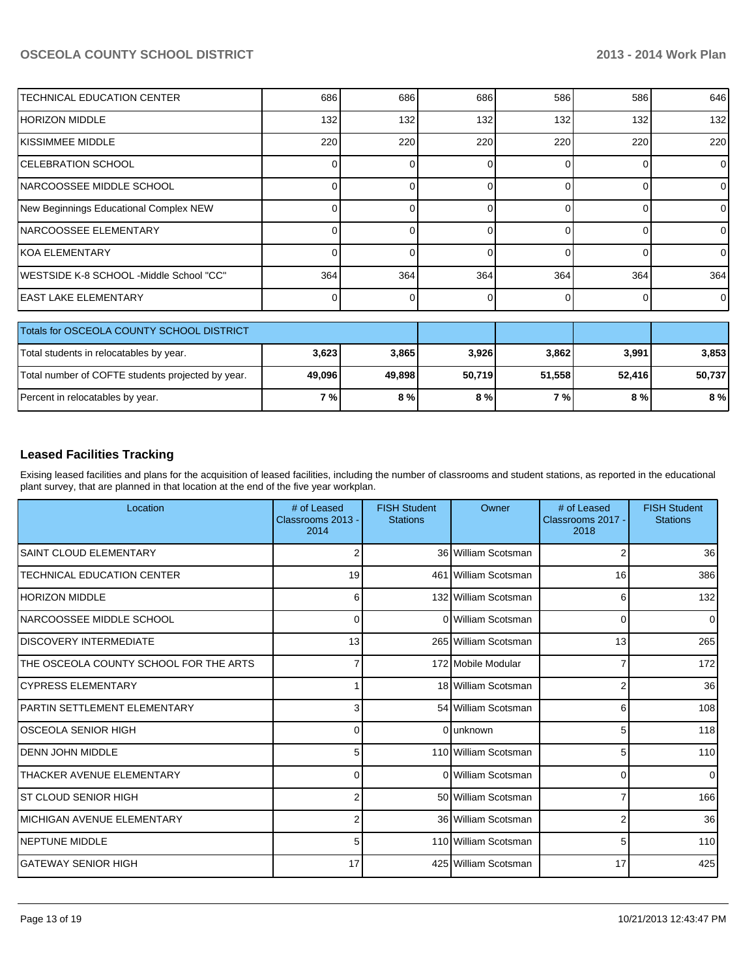| <b>TECHNICAL EDUCATION CENTER</b>         | 686 | 686 | 686 | 586 | 586 | 646            |
|-------------------------------------------|-----|-----|-----|-----|-----|----------------|
| HORIZON MIDDLE                            | 132 | 132 | 132 | 132 | 132 | 132            |
| IKISSIMMEE MIDDLE                         | 220 | 220 | 220 | 220 | 220 | 220            |
| ICELEBRATION SCHOOL                       |     |     |     |     |     | $\overline{0}$ |
| NARCOOSSEE MIDDLE SCHOOL                  |     |     |     |     |     | $\Omega$       |
| New Beginnings Educational Complex NEW    |     |     |     |     |     | $\Omega$       |
| INARCOOSSEE ELEMENTARY                    |     |     |     |     |     | $\overline{0}$ |
| IKOA ELEMENTARY                           |     |     |     | 0   |     | $\Omega$       |
| IWESTSIDE K-8 SCHOOL -Middle School "CC"  | 364 | 364 | 364 | 364 | 364 | 364            |
| <b>EAST LAKE ELEMENTARY</b>               |     |     |     | 0   |     | $\overline{0}$ |
| Totals for OSCEOLA COUNTY SCHOOL DISTRICT |     |     |     |     |     |                |

| Totals for OSCEOLA COUNTY SCHOOL DISTRICT         |            |        |        |        |        |        |
|---------------------------------------------------|------------|--------|--------|--------|--------|--------|
| Total students in relocatables by year.           | 3,623      | 3.865  | 3,926  | 3,862  | 3.991  | 3,853  |
| Total number of COFTE students projected by year. | 49,096     | 49.898 | 50.719 | 51.558 | 52.416 | 50.737 |
| Percent in relocatables by year.                  | <b>7</b> % | 8%     | 8%     | 7 % I  | 8 % I  | 8%     |

#### **Leased Facilities Tracking**

Exising leased facilities and plans for the acquisition of leased facilities, including the number of classrooms and student stations, as reported in the educational plant survey, that are planned in that location at the end of the five year workplan.

| Location                               | # of Leased<br>Classrooms 2013 -<br>2014 | <b>FISH Student</b><br><b>Stations</b> | Owner                | # of Leased<br>Classrooms 2017 -<br>2018 | <b>FISH Student</b><br><b>Stations</b> |
|----------------------------------------|------------------------------------------|----------------------------------------|----------------------|------------------------------------------|----------------------------------------|
| <b>SAINT CLOUD ELEMENTARY</b>          |                                          |                                        | 36 William Scotsman  | 2                                        | 36                                     |
| <b>TECHNICAL EDUCATION CENTER</b>      | 19                                       |                                        | 461 William Scotsman | 16                                       | 386                                    |
| <b>HORIZON MIDDLE</b>                  | 6                                        |                                        | 132 William Scotsman | 6                                        | 132                                    |
| INARCOOSSEE MIDDLE SCHOOL              | 0                                        |                                        | 0 William Scotsman   | $\Omega$                                 | $\Omega$                               |
| <b>DISCOVERY INTERMEDIATE</b>          | 13                                       |                                        | 265 William Scotsman | 13                                       | 265                                    |
| THE OSCEOLA COUNTY SCHOOL FOR THE ARTS | 7                                        |                                        | 172 Mobile Modular   | 7                                        | 172                                    |
| <b>CYPRESS ELEMENTARY</b>              |                                          |                                        | 18 William Scotsman  | $\overline{2}$                           | 36                                     |
| IPARTIN SETTLEMENT ELEMENTARY          | 3                                        |                                        | 54 William Scotsman  | 6                                        | 108                                    |
| <b>OSCEOLA SENIOR HIGH</b>             | 0                                        |                                        | Olunknown            | 5                                        | 118                                    |
| <b>DENN JOHN MIDDLE</b>                | 5                                        |                                        | 110 William Scotsman | 5                                        | 110                                    |
| THACKER AVENUE ELEMENTARY              | $\Omega$                                 |                                        | 0 William Scotsman   | $\Omega$                                 |                                        |
| IST CLOUD SENIOR HIGH                  | 2                                        |                                        | 50 William Scotsman  | 7                                        | 166                                    |
| IMICHIGAN AVENUE ELEMENTARY            | 2                                        |                                        | 36 William Scotsman  | 2                                        | 36                                     |
| <b>INEPTUNE MIDDLE</b>                 | 5                                        |                                        | 110 William Scotsman | 5                                        | 110                                    |
| ÍGATEWAY SENIOR HIGH                   | 17                                       |                                        | 425 William Scotsman | 17                                       | 425                                    |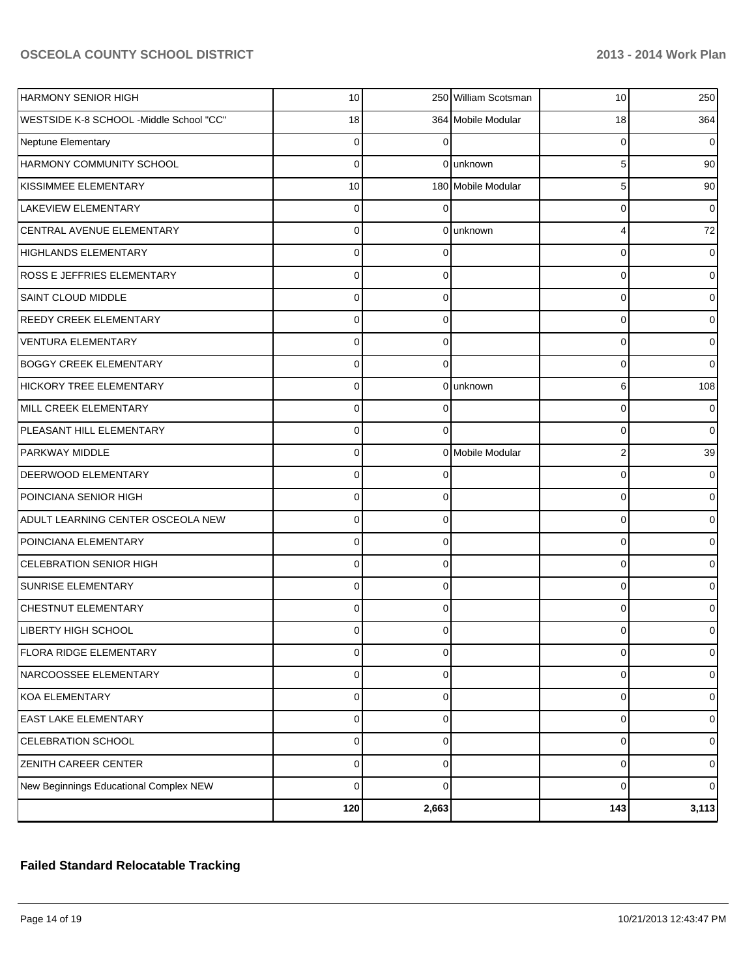| <b>HARMONY SENIOR HIGH</b>              | 10 <sup>1</sup> |                | 250 William Scotsman | 10 <sup>1</sup> | 250            |
|-----------------------------------------|-----------------|----------------|----------------------|-----------------|----------------|
| WESTSIDE K-8 SCHOOL -Middle School "CC" | 18              |                | 364 Mobile Modular   | 18              | 364            |
| Neptune Elementary                      | $\Omega$        |                |                      | 0               | $\Omega$       |
| HARMONY COMMUNITY SCHOOL                | $\Omega$        |                | 0 unknown            | 5               | 90             |
| KISSIMMEE ELEMENTARY                    | 10              |                | 180 Mobile Modular   | 5               | 90             |
| <b>LAKEVIEW ELEMENTARY</b>              | $\Omega$        |                |                      | 0               | $\overline{0}$ |
| CENTRAL AVENUE ELEMENTARY               | $\Omega$        |                | 0 unknown            | 4               | 72             |
| <b>HIGHLANDS ELEMENTARY</b>             | $\Omega$        | $\Omega$       |                      | 0               | $\overline{0}$ |
| <b>ROSS E JEFFRIES ELEMENTARY</b>       | $\Omega$        | $\Omega$       |                      | 0               | $\overline{0}$ |
| <b>SAINT CLOUD MIDDLE</b>               | $\Omega$        | $\Omega$       |                      | 0               | $\overline{0}$ |
| <b>REEDY CREEK ELEMENTARY</b>           | $\Omega$        | $\Omega$       |                      | 0               | $\Omega$       |
| <b>VENTURA ELEMENTARY</b>               | $\Omega$        | $\Omega$       |                      | 0               | $\overline{0}$ |
| <b>BOGGY CREEK ELEMENTARY</b>           | $\Omega$        | $\Omega$       |                      | $\Omega$        | $\Omega$       |
| <b>HICKORY TREE ELEMENTARY</b>          | $\Omega$        |                | Olunknown            | 6               | 108            |
| MILL CREEK ELEMENTARY                   | $\Omega$        |                |                      | 0               | $\Omega$       |
| PLEASANT HILL ELEMENTARY                | $\Omega$        | $\Omega$       |                      | 0               | $\Omega$       |
| <b>PARKWAY MIDDLE</b>                   | $\Omega$        |                | 0 Mobile Modular     | 2               | 39             |
| <b>DEERWOOD ELEMENTARY</b>              | $\Omega$        | $\Omega$       |                      | 0               | $\overline{0}$ |
| POINCIANA SENIOR HIGH                   | $\Omega$        | $\Omega$       |                      | 0               | $\overline{0}$ |
| ADULT LEARNING CENTER OSCEOLA NEW       | $\Omega$        | $\Omega$       |                      | 0               | $\overline{0}$ |
| POINCIANA ELEMENTARY                    | $\Omega$        | 0              |                      | 0               | $\Omega$       |
| <b>CELEBRATION SENIOR HIGH</b>          | $\Omega$        | $\Omega$       |                      | 0               | $\overline{0}$ |
| <b>SUNRISE ELEMENTARY</b>               | $\Omega$        | $\Omega$       |                      | 0               | $\overline{0}$ |
| <b>CHESTNUT ELEMENTARY</b>              | $\Omega$        | $\Omega$       |                      | 0               | $\overline{0}$ |
| <b>LIBERTY HIGH SCHOOL</b>              | n               |                |                      |                 | 0              |
| FLORA RIDGE ELEMENTARY                  | $\overline{0}$  | $\overline{0}$ |                      | 0               | $\overline{0}$ |
| NARCOOSSEE ELEMENTARY                   | $\overline{0}$  | $\mathbf 0$    |                      | 0               | $\overline{0}$ |
| KOA ELEMENTARY                          | $\Omega$        | $\mathbf 0$    |                      | $\mathbf 0$     | $\overline{0}$ |
| <b>EAST LAKE ELEMENTARY</b>             | $\Omega$        | $\mathbf 0$    |                      | $\mathbf 0$     | $\overline{0}$ |
| CELEBRATION SCHOOL                      | $\Omega$        | $\Omega$       |                      | $\mathbf 0$     | $\mathbf 0$    |
| <b>ZENITH CAREER CENTER</b>             | $\Omega$        | $\Omega$       |                      | $\mathbf 0$     | $\mathbf 0$    |
| New Beginnings Educational Complex NEW  | $\Omega$        | $\Omega$       |                      | $\mathbf 0$     | $\overline{0}$ |
|                                         | 120             | 2,663          |                      | 143             | 3,113          |

# **Failed Standard Relocatable Tracking**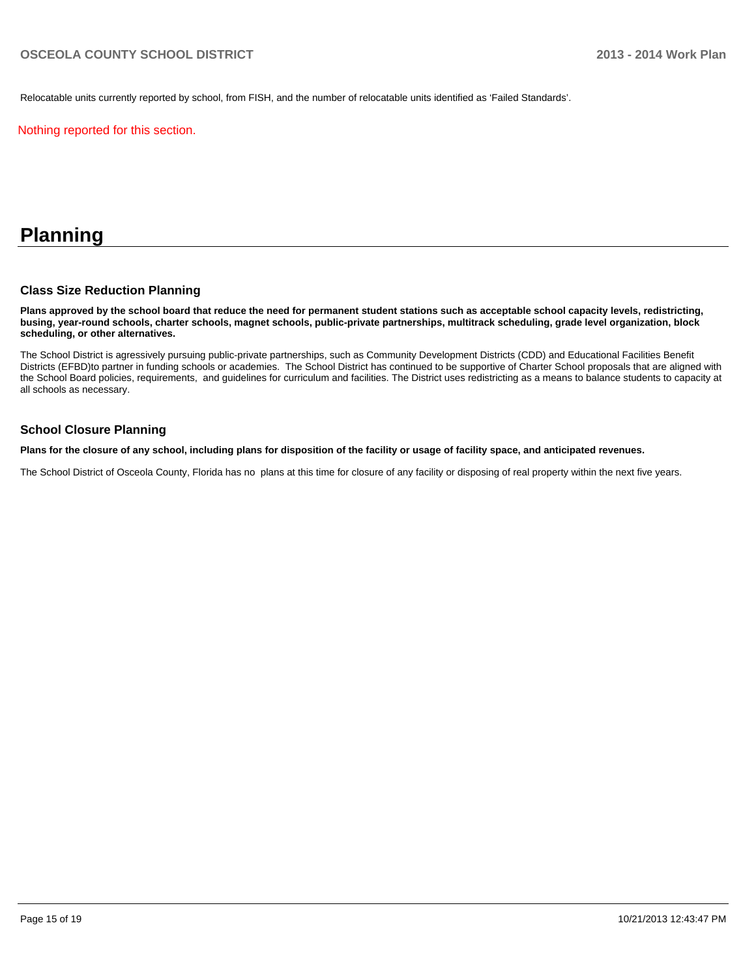Relocatable units currently reported by school, from FISH, and the number of relocatable units identified as 'Failed Standards'.

Nothing reported for this section.

# **Planning**

#### **Class Size Reduction Planning**

**Plans approved by the school board that reduce the need for permanent student stations such as acceptable school capacity levels, redistricting, busing, year-round schools, charter schools, magnet schools, public-private partnerships, multitrack scheduling, grade level organization, block scheduling, or other alternatives.**

The School District is agressively pursuing public-private partnerships, such as Community Development Districts (CDD) and Educational Facilities Benefit Districts (EFBD)to partner in funding schools or academies. The School District has continued to be supportive of Charter School proposals that are aligned with the School Board policies, requirements, and guidelines for curriculum and facilities. The District uses redistricting as a means to balance students to capacity at all schools as necessary.

#### **School Closure Planning**

**Plans for the closure of any school, including plans for disposition of the facility or usage of facility space, and anticipated revenues.**

The School District of Osceola County, Florida has no plans at this time for closure of any facility or disposing of real property within the next five years.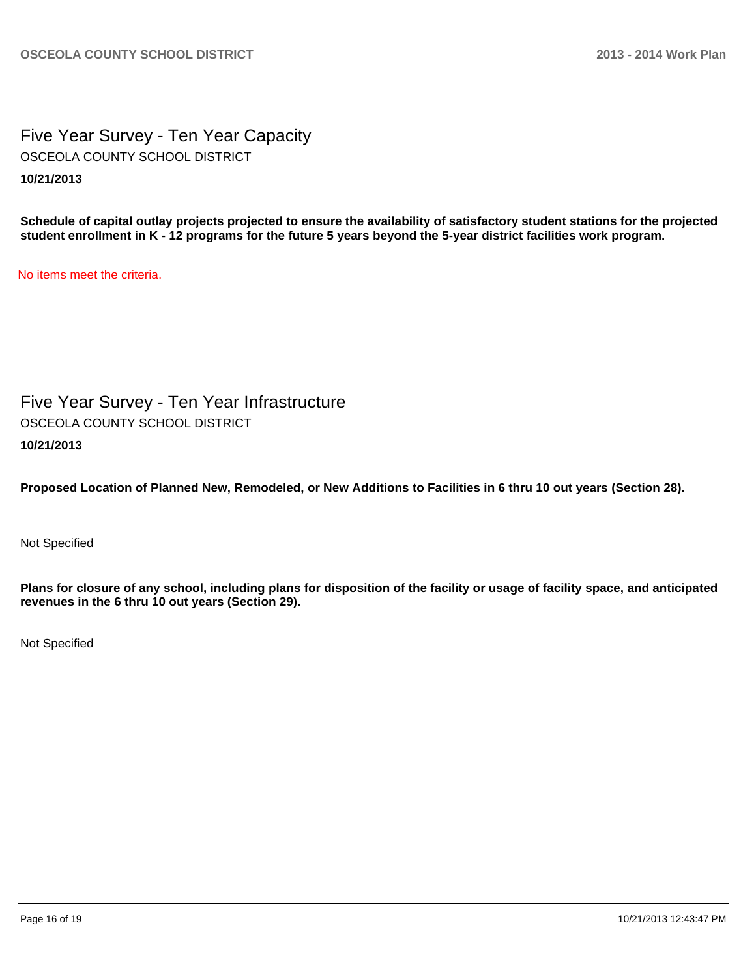Five Year Survey - Ten Year Capacity **10/21/2013** OSCEOLA COUNTY SCHOOL DISTRICT

**Schedule of capital outlay projects projected to ensure the availability of satisfactory student stations for the projected student enrollment in K - 12 programs for the future 5 years beyond the 5-year district facilities work program.**

No items meet the criteria.

Five Year Survey - Ten Year Infrastructure **10/21/2013** OSCEOLA COUNTY SCHOOL DISTRICT

**Proposed Location of Planned New, Remodeled, or New Additions to Facilities in 6 thru 10 out years (Section 28).**

Not Specified

**Plans for closure of any school, including plans for disposition of the facility or usage of facility space, and anticipated revenues in the 6 thru 10 out years (Section 29).**

Not Specified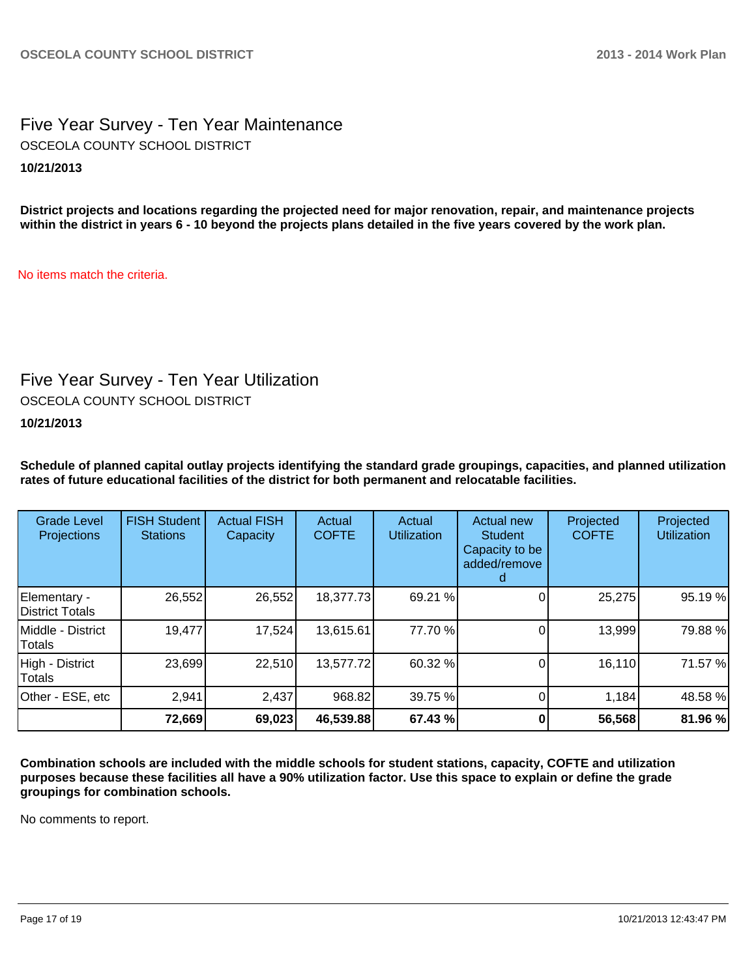# Five Year Survey - Ten Year Maintenance **10/21/2013** OSCEOLA COUNTY SCHOOL DISTRICT

**District projects and locations regarding the projected need for major renovation, repair, and maintenance projects within the district in years 6 - 10 beyond the projects plans detailed in the five years covered by the work plan.**

No items match the criteria.

# Five Year Survey - Ten Year Utilization

OSCEOLA COUNTY SCHOOL DISTRICT

**10/21/2013**

**Schedule of planned capital outlay projects identifying the standard grade groupings, capacities, and planned utilization rates of future educational facilities of the district for both permanent and relocatable facilities.**

| <b>Grade Level</b><br><b>Projections</b> | <b>FISH Student</b><br><b>Stations</b> | <b>Actual FISH</b><br>Capacity | Actual<br><b>COFTE</b> | Actual<br><b>Utilization</b> | Actual new<br><b>Student</b><br>Capacity to be<br>added/remove | Projected<br><b>COFTE</b> | Projected<br><b>Utilization</b> |
|------------------------------------------|----------------------------------------|--------------------------------|------------------------|------------------------------|----------------------------------------------------------------|---------------------------|---------------------------------|
| Elementary -<br>District Totals          | 26,552                                 | 26,552                         | 18,377.73              | 69.21 %                      |                                                                | 25,275                    | 95.19 %                         |
| Middle - District<br>Totals              | 19,477                                 | 17,524                         | 13,615.61              | 77.70 %                      |                                                                | 13,999                    | 79.88%                          |
| High - District<br>Totals                | 23,699                                 | 22,510                         | 13,577.72              | 60.32 %                      |                                                                | 16,110                    | 71.57 %                         |
| Other - ESE, etc                         | 2,941                                  | 2,437                          | 968.82                 | 39.75 %                      |                                                                | 1,184                     | 48.58 %                         |
|                                          | 72,669                                 | 69,023                         | 46,539.88              | 67.43 %                      |                                                                | 56,568                    | 81.96 %                         |

**Combination schools are included with the middle schools for student stations, capacity, COFTE and utilization purposes because these facilities all have a 90% utilization factor. Use this space to explain or define the grade groupings for combination schools.**

No comments to report.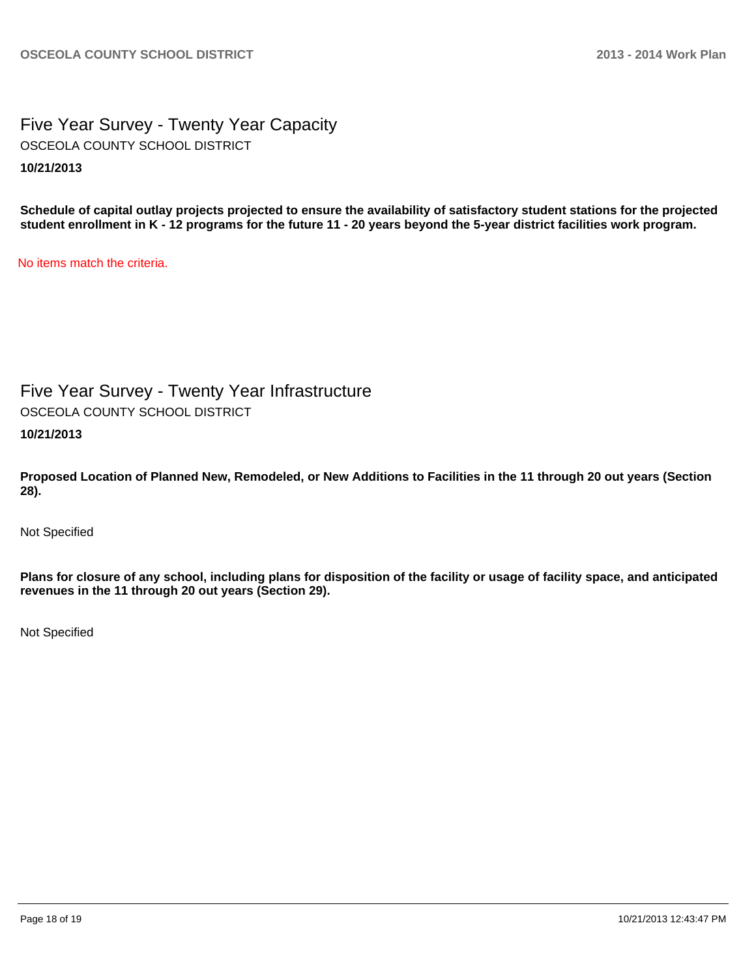Five Year Survey - Twenty Year Capacity **10/21/2013** OSCEOLA COUNTY SCHOOL DISTRICT

**Schedule of capital outlay projects projected to ensure the availability of satisfactory student stations for the projected student enrollment in K - 12 programs for the future 11 - 20 years beyond the 5-year district facilities work program.**

No items match the criteria.

Five Year Survey - Twenty Year Infrastructure

OSCEOLA COUNTY SCHOOL DISTRICT

**10/21/2013**

**Proposed Location of Planned New, Remodeled, or New Additions to Facilities in the 11 through 20 out years (Section 28).**

Not Specified

**Plans for closure of any school, including plans for disposition of the facility or usage of facility space, and anticipated revenues in the 11 through 20 out years (Section 29).**

Not Specified